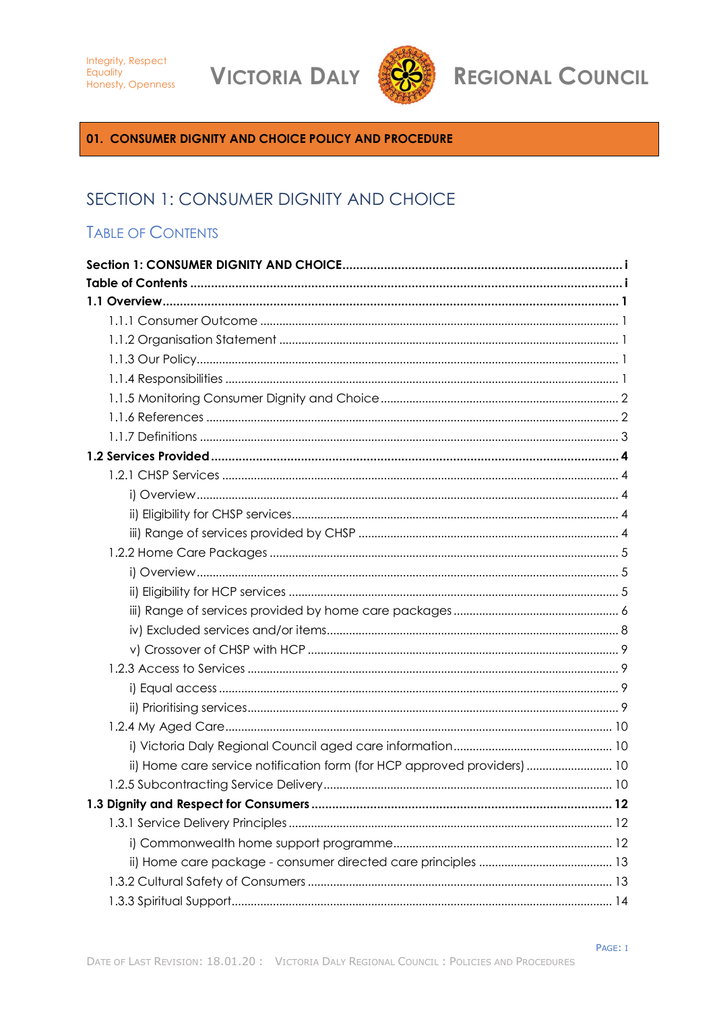**VICTORIA DALY** 



**REGIONAL COUNCIL** 

<span id="page-0-0"></span>01. CONSUMER DIGNITY AND CHOICE POLICY AND PROCEDURE

# SECTION 1: CONSUMER DIGNITY AND CHOICE

# <span id="page-0-1"></span>**TABLE OF CONTENTS**

| ii) Home care service notification form (for HCP approved providers)  10 |  |
|--------------------------------------------------------------------------|--|
|                                                                          |  |
|                                                                          |  |
|                                                                          |  |
|                                                                          |  |
|                                                                          |  |
|                                                                          |  |
|                                                                          |  |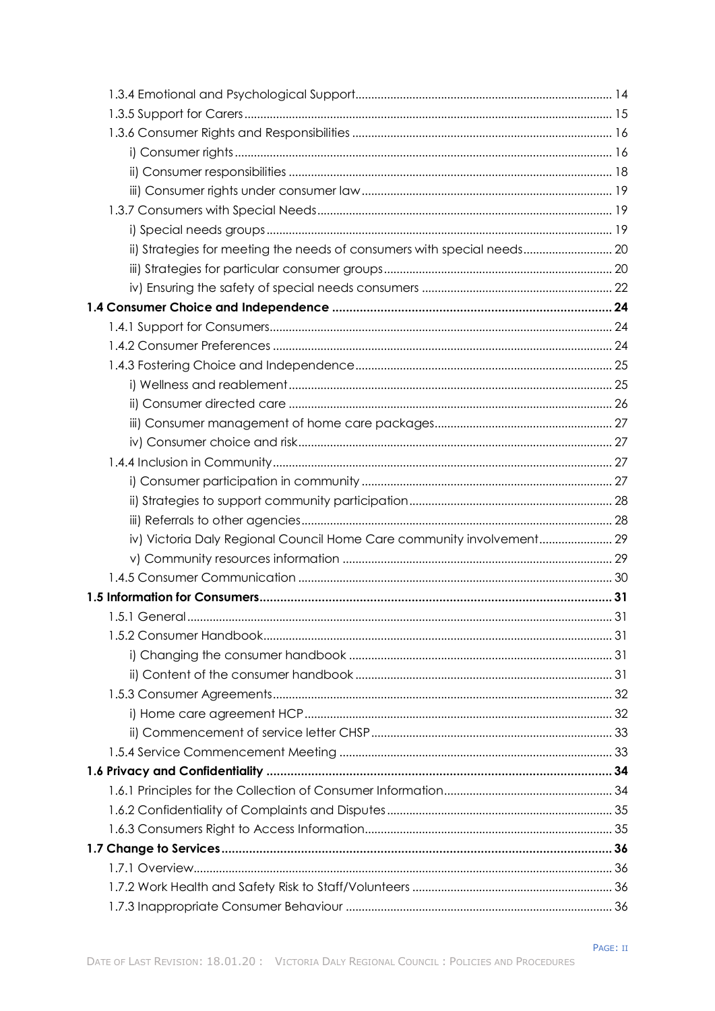| ii) Strategies for meeting the needs of consumers with special needs 20 |  |
|-------------------------------------------------------------------------|--|
|                                                                         |  |
|                                                                         |  |
|                                                                         |  |
|                                                                         |  |
|                                                                         |  |
|                                                                         |  |
|                                                                         |  |
|                                                                         |  |
|                                                                         |  |
|                                                                         |  |
|                                                                         |  |
|                                                                         |  |
|                                                                         |  |
|                                                                         |  |
| iv) Victoria Daly Regional Council Home Care community involvement 29   |  |
|                                                                         |  |
|                                                                         |  |
|                                                                         |  |
|                                                                         |  |
|                                                                         |  |
|                                                                         |  |
|                                                                         |  |
|                                                                         |  |
|                                                                         |  |
|                                                                         |  |
|                                                                         |  |
|                                                                         |  |
|                                                                         |  |
|                                                                         |  |
|                                                                         |  |
|                                                                         |  |
|                                                                         |  |
|                                                                         |  |
|                                                                         |  |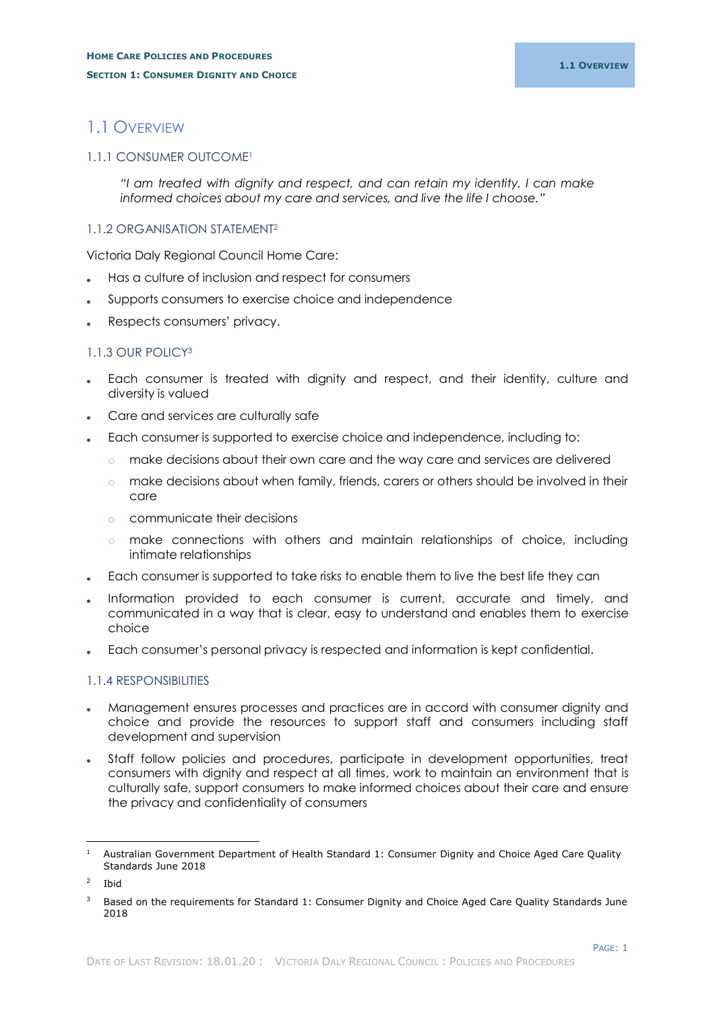# <span id="page-3-0"></span>1.1 OVERVIEW

#### <span id="page-3-1"></span>1.1.1 CONSUMER OUTCOME<sup>1</sup>

*"I am treated with dignity and respect, and can retain my identity. I can make informed choices about my care and services, and live the life I choose."*

#### <span id="page-3-2"></span>1.1.2 ORGANISATION STATEMENT<sup>2</sup>

Victoria Daly Regional Council Home Care:

- Has a culture of inclusion and respect for consumers
- Supports consumers to exercise choice and independence
- Respects consumers' privacy.

#### <span id="page-3-3"></span>1.1.3 OUR POLICY<sup>3</sup>

- Each consumer is treated with dignity and respect, and their identity, culture and diversity is valued
- Care and services are culturally safe
- Each consumer is supported to exercise choice and independence, including to:
	- o make decisions about their own care and the way care and services are delivered
	- o make decisions about when family, friends, carers or others should be involved in their care
	- o communicate their decisions
	- o make connections with others and maintain relationships of choice, including intimate relationships
- Each consumer is supported to take risks to enable them to live the best life they can
- Information provided to each consumer is current, accurate and timely, and communicated in a way that is clear, easy to understand and enables them to exercise choice
- Each consumer's personal privacy is respected and information is kept confidential.

#### <span id="page-3-4"></span>1.1.4 RESPONSIBILITIES

- Management ensures processes and practices are in accord with consumer dignity and choice and provide the resources to support staff and consumers including staff development and supervision
- Staff follow policies and procedures, participate in development opportunities, treat consumers with dignity and respect at all times, work to maintain an environment that is culturally safe, support consumers to make informed choices about their care and ensure the privacy and confidentiality of consumers

i,

<sup>&</sup>lt;sup>1</sup> Australian Government Department of Health Standard 1: Consumer Dignity and Choice Aged Care Quality Standards June 2018

 $\overline{2}$ Ibid

<sup>&</sup>lt;sup>3</sup> Based on the requirements for Standard 1: Consumer Dignity and Choice Aged Care Quality Standards June 2018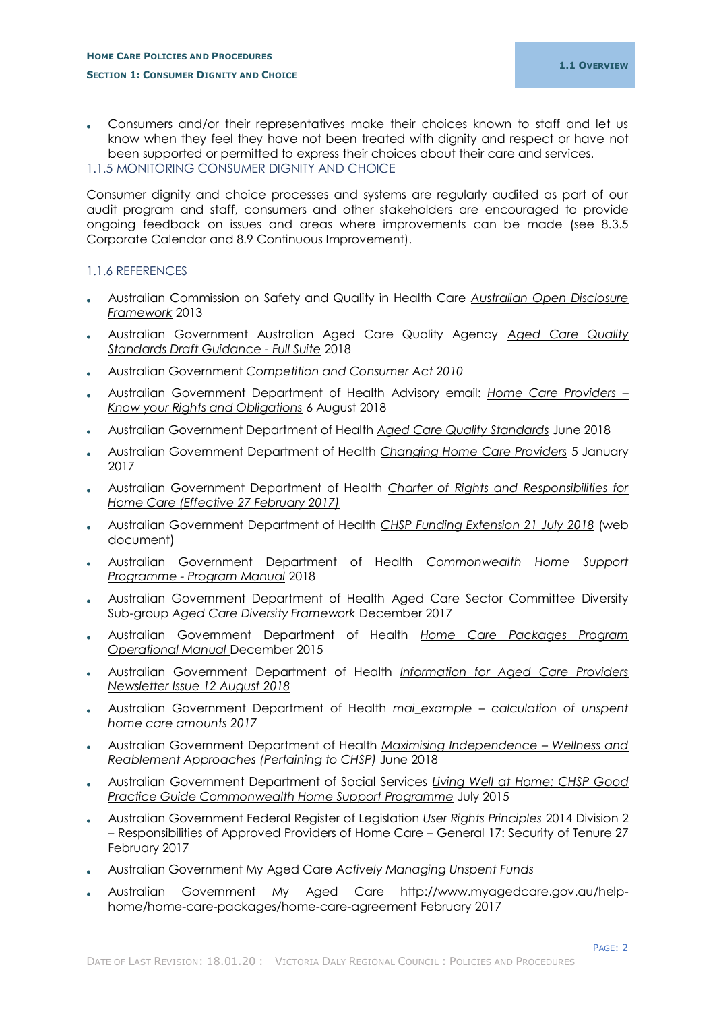#### <span id="page-4-0"></span>1.1.5 MONITORING CONSUMER DIGNITY AND CHOICE

Consumer dignity and choice processes and systems are regularly audited as part of our audit program and staff, consumers and other stakeholders are encouraged to provide ongoing feedback on issues and areas where improvements can be made (see 8.3.5 Corporate Calendar and 8.9 Continuous Improvement).

#### <span id="page-4-1"></span>1.1.6 REFERENCES

- Australian Commission on Safety and Quality in Health Care *Australian Open Disclosure Framework* 2013
- Australian Government Australian Aged Care Quality Agency *Aged Care Quality Standards Draft Guidance - Full Suite* 2018
- Australian Government *Competition and Consumer Act 2010*
- Australian Government Department of Health Advisory email: *Home Care Providers – Know your Rights and Obligations* 6 August 2018
- Australian Government Department of Health *Aged Care Quality Standards* June 2018
- Australian Government Department of Health *Changing Home Care Providers* 5 January 2017
- Australian Government Department of Health *Charter of Rights and Responsibilities for Home Care (Effective 27 February 2017)*
- Australian Government Department of Health *CHSP Funding Extension 21 July 2018* (web document)
- Australian Government Department of Health *Commonwealth Home Support Programme - Program Manual* 2018
- Australian Government Department of Health Aged Care Sector Committee Diversity Sub-group *Aged Care Diversity Framework* December 2017
- Australian Government Department of Health *Home Care Packages Program Operational Manual* December 2015
- Australian Government Department of Health *Information for Aged Care Providers Newsletter Issue 12 August 2018*
- Australian Government Department of Health *mai\_example – calculation of unspent home care amounts 2017*
- Australian Government Department of Health *Maximising Independence – Wellness and Reablement Approaches (Pertaining to CHSP)* June 2018
- Australian Government Department of Social Services *Living Well at Home: CHSP Good Practice Guide Commonwealth Home Support Programme* July 2015
- Australian Government Federal Register of Legislation *User Rights Principles* 2014 Division 2 – Responsibilities of Approved Providers of Home Care – General 17: Security of Tenure 27 February 2017
- Australian Government My Aged Care *Actively Managing Unspent Funds*
- Australian Government My Aged Care http://www.myagedcare.gov.au/helphome/home-care-packages/home-care-agreement February 2017

PAGE: 2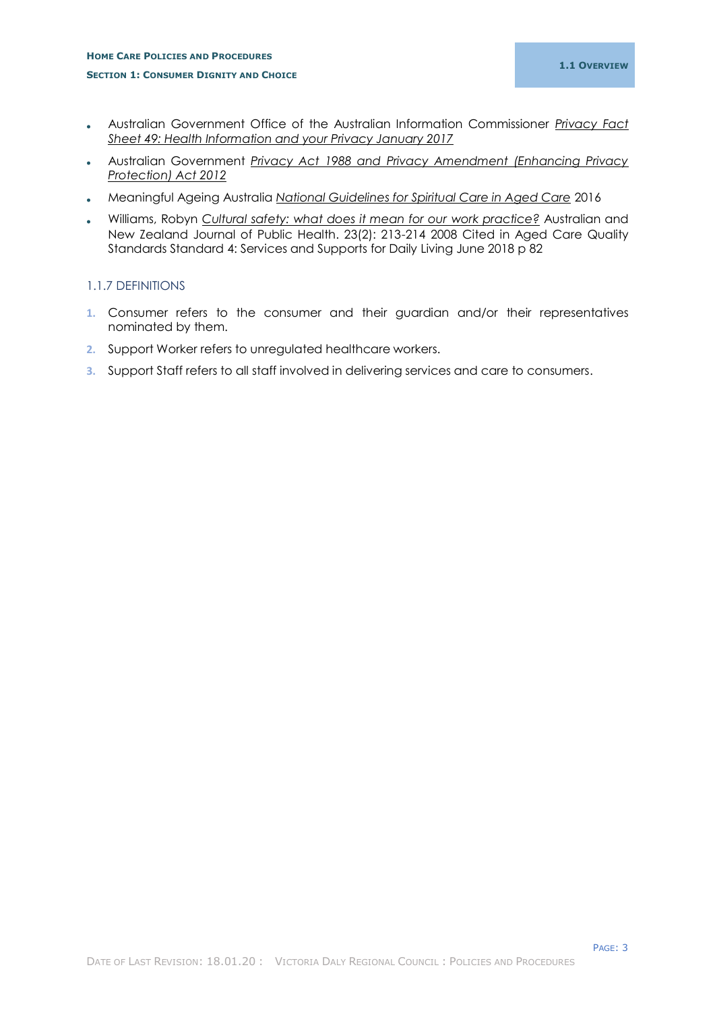- Australian Government Office of the Australian Information Commissioner *Privacy Fact Sheet 49: Health Information and your Privacy January 2017*
- Australian Government *Privacy Act 1988 and Privacy Amendment (Enhancing Privacy Protection) Act 2012*
- Meaningful Ageing Australia *National Guidelines for Spiritual Care in Aged Care* 2016
- Williams, Robyn *Cultural safety: what does it mean for our work practice?* Australian and New Zealand Journal of Public Health. 23(2): 213-214 2008 Cited in Aged Care Quality Standards Standard 4: Services and Supports for Daily Living June 2018 p 82

## <span id="page-5-0"></span>1.1.7 DEFINITIONS

- **1.** Consumer refers to the consumer and their guardian and/or their representatives nominated by them.
- **2.** Support Worker refers to unregulated healthcare workers.
- **3.** Support Staff refers to all staff involved in delivering services and care to consumers.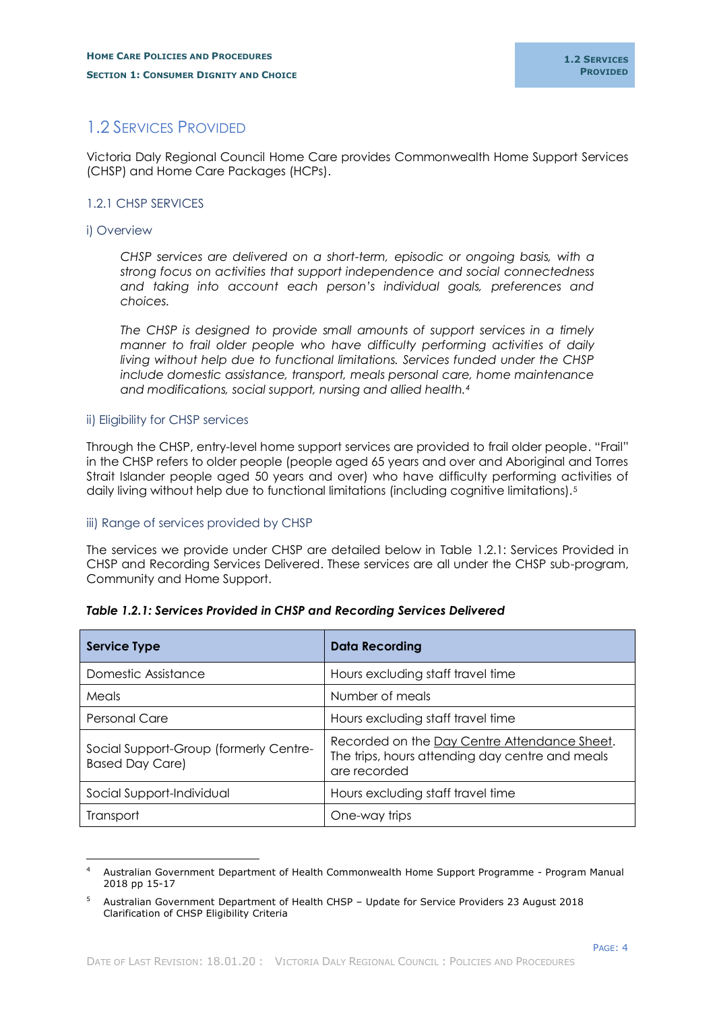# <span id="page-6-0"></span>1.2 SERVICES PROVIDED

Victoria Daly Regional Council Home Care provides Commonwealth Home Support Services (CHSP) and Home Care Packages (HCPs).

# <span id="page-6-1"></span>1.2.1 CHSP SERVICES

#### <span id="page-6-2"></span>i) Overview

-

*CHSP services are delivered on a short-term, episodic or ongoing basis, with a strong focus on activities that support independence and social connectedness and taking into account each person's individual goals, preferences and choices.*

*The CHSP is designed to provide small amounts of support services in a timely manner to frail older people who have difficulty performing activities of daily living without help due to functional limitations. Services funded under the CHSP include domestic assistance, transport, meals personal care, home maintenance and modifications, social support, nursing and allied health.<sup>4</sup>*

#### <span id="page-6-3"></span>ii) Eligibility for CHSP services

Through the CHSP, entry-level home support services are provided to frail older people. "Frail" in the CHSP refers to older people (people aged 65 years and over and Aboriginal and Torres Strait Islander people aged 50 years and over) who have difficulty performing activities of daily living without help due to functional limitations (including cognitive limitations).<sup>5</sup>

## <span id="page-6-4"></span>iii) Range of services provided by CHSP

The services we provide under CHSP are detailed below in Table 1.2.1: Services Provided in CHSP and Recording Services Delivered. These services are all under the CHSP sub-program, Community and Home Support.

| <b>Service Type</b>                                              | <b>Data Recording</b>                                                                                           |
|------------------------------------------------------------------|-----------------------------------------------------------------------------------------------------------------|
| Domestic Assistance                                              | Hours excluding staff travel time                                                                               |
| Meals                                                            | Number of meals                                                                                                 |
| <b>Personal Care</b>                                             | Hours excluding staff travel time                                                                               |
| Social Support-Group (formerly Centre-<br><b>Based Day Care)</b> | Recorded on the Day Centre Attendance Sheet.<br>The trips, hours attending day centre and meals<br>are recorded |
| Social Support-Individual                                        | Hours excluding staff travel time                                                                               |
| Transport                                                        | One-way trips                                                                                                   |

## *Table 1.2.1: Services Provided in CHSP and Recording Services Delivered*

<sup>4</sup> Australian Government Department of Health Commonwealth Home Support Programme - Program Manual 2018 pp 15-17

<sup>5</sup> Australian Government Department of Health CHSP – Update for Service Providers 23 August 2018 Clarification of CHSP Eligibility Criteria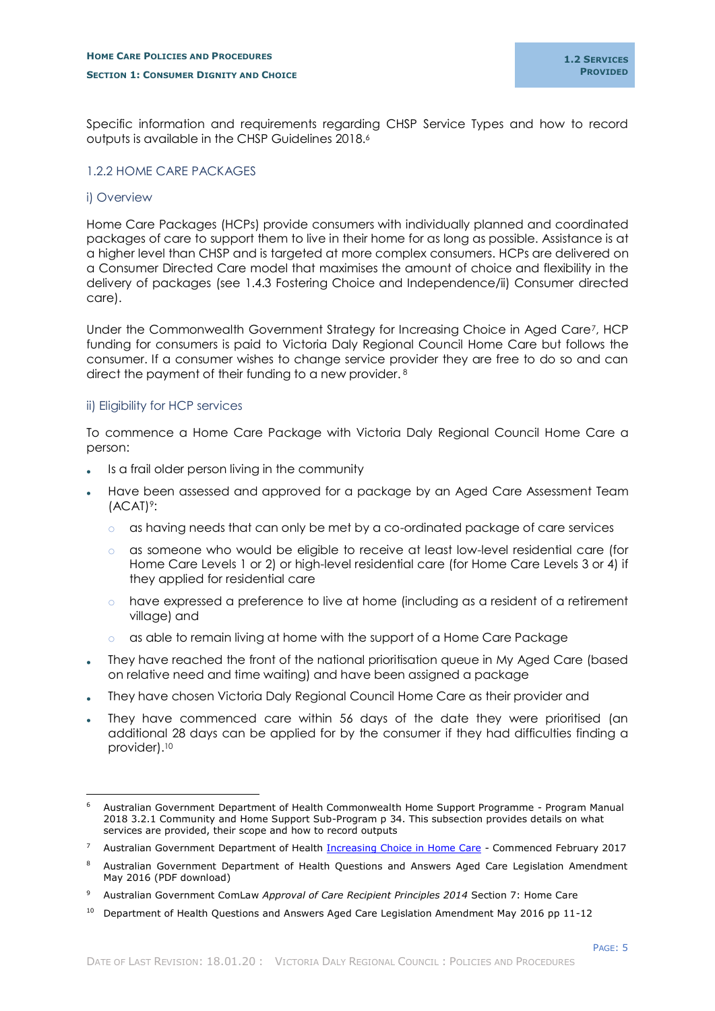Specific information and requirements regarding CHSP Service Types and how to record outputs is available in the CHSP Guidelines 2018. 6

#### <span id="page-7-0"></span>1.2.2 HOME CARE PACKAGES

#### <span id="page-7-1"></span>i) Overview

-

Home Care Packages (HCPs) provide consumers with individually planned and coordinated packages of care to support them to live in their home for as long as possible. Assistance is at a higher level than CHSP and is targeted at more complex consumers. HCPs are delivered on a Consumer Directed Care model that maximises the amount of choice and flexibility in the delivery of packages (see 1.4.3 Fostering Choice and Independence/ii) Consumer directed care).

Under the Commonwealth Government Strategy for Increasing Choice in Aged Care7, HCP funding for consumers is paid to Victoria Daly Regional Council Home Care but follows the consumer. If a consumer wishes to change service provider they are free to do so and can direct the payment of their funding to a new provider. <sup>8</sup>

## <span id="page-7-2"></span>ii) Eligibility for HCP services

To commence a Home Care Package with Victoria Daly Regional Council Home Care a person:

- Is a frail older person living in the community
- Have been assessed and approved for a package by an Aged Care Assessment Team (ACAT) 9:
	- $\circ$  as having needs that can only be met by a co-ordinated package of care services
	- o as someone who would be eligible to receive at least low-level residential care (for Home Care Levels 1 or 2) or high-level residential care (for Home Care Levels 3 or 4) if they applied for residential care
	- o have expressed a preference to live at home (including as a resident of a retirement village) and
	- $\circ$  as able to remain living at home with the support of a Home Care Package
- They have reached the front of the national prioritisation queue in My Aged Care (based on relative need and time waiting) and have been assigned a package
- They have chosen Victoria Daly Regional Council Home Care as their provider and
- They have commenced care within 56 days of the date they were prioritised (an additional 28 days can be applied for by the consumer if they had difficulties finding a provider).<sup>10</sup>

<sup>6</sup> Australian Government Department of Health Commonwealth Home Support Programme - Program Manual 2018 3.2.1 Community and Home Support Sub-Program p 34. This subsection provides details on what services are provided, their scope and how to record outputs

<sup>&</sup>lt;sup>7</sup> Australian Government Department of Health [Increasing Choice in Home Care](https://agedcare.health.gov.au/increasing-choice-in-home-care) - Commenced February 2017

<sup>&</sup>lt;sup>8</sup> Australian Government Department of Health Questions and Answers Aged Care Legislation Amendment May 2016 (PDF download)

<sup>9</sup> Australian Government ComLaw *Approval of Care Recipient Principles 2014* Section 7: Home Care

 $10$  Department of Health Questions and Answers Aged Care Legislation Amendment May 2016 pp 11-12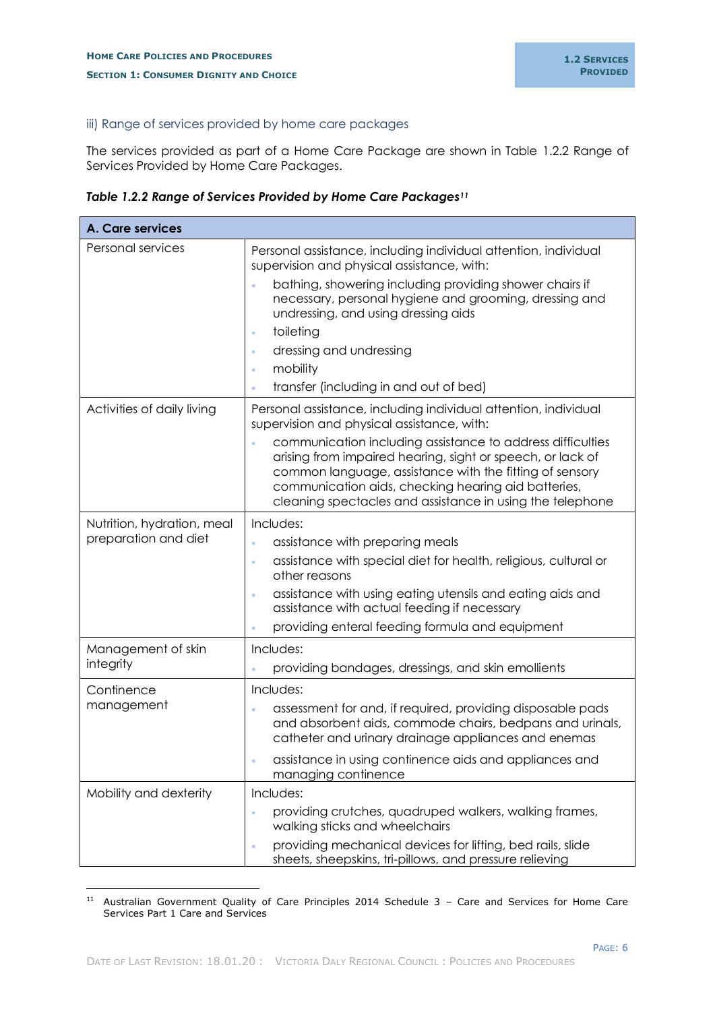## <span id="page-8-0"></span>iii) Range of services provided by home care packages

The services provided as part of a Home Care Package are shown in Table 1.2.2 Range of Services Provided by Home Care Packages.

*Table 1.2.2 Range of Services Provided by Home Care Packages<sup>11</sup>*

| A. Care services                                   |                                                                                                                                                                                                                                                                                                                                                                                                                                                |
|----------------------------------------------------|------------------------------------------------------------------------------------------------------------------------------------------------------------------------------------------------------------------------------------------------------------------------------------------------------------------------------------------------------------------------------------------------------------------------------------------------|
| Personal services                                  | Personal assistance, including individual attention, individual<br>supervision and physical assistance, with:<br>bathing, showering including providing shower chairs if<br>$\bullet$<br>necessary, personal hygiene and grooming, dressing and<br>undressing, and using dressing aids<br>toileting<br>$\bullet$<br>dressing and undressing<br>$\bullet$<br>mobility<br>$\bullet$<br>transfer (including in and out of bed)                    |
| Activities of daily living                         | Personal assistance, including individual attention, individual<br>supervision and physical assistance, with:<br>communication including assistance to address difficulties<br>$\hat{\mathbf{e}}$<br>arising from impaired hearing, sight or speech, or lack of<br>common language, assistance with the fitting of sensory<br>communication aids, checking hearing aid batteries,<br>cleaning spectacles and assistance in using the telephone |
| Nutrition, hydration, meal<br>preparation and diet | Includes:<br>assistance with preparing meals<br>$\hat{\mathbf{e}}$<br>assistance with special diet for health, religious, cultural or<br>$\bullet$<br>other reasons<br>assistance with using eating utensils and eating aids and<br>$\bullet$<br>assistance with actual feeding if necessary<br>providing enteral feeding formula and equipment<br>$\bullet$                                                                                   |
| Management of skin<br>integrity                    | Includes:<br>providing bandages, dressings, and skin emollients                                                                                                                                                                                                                                                                                                                                                                                |
| Continence<br>management                           | Includes:<br>assessment for and, if required, providing disposable pads<br>$\bullet$<br>and absorbent aids, commode chairs, bedpans and urinals,<br>catheter and urinary drainage appliances and enemas<br>assistance in using continence aids and appliances and<br>managing continence                                                                                                                                                       |
| Mobility and dexterity                             | Includes:<br>providing crutches, quadruped walkers, walking frames,<br>walking sticks and wheelchairs<br>providing mechanical devices for lifting, bed rails, slide<br>$\bullet$<br>sheets, sheepskins, tri-pillows, and pressure relieving                                                                                                                                                                                                    |

<sup>11</sup> Australian Government Quality of Care Principles 2014 Schedule 3 – Care and Services for Home Care Services Part 1 Care and Services

-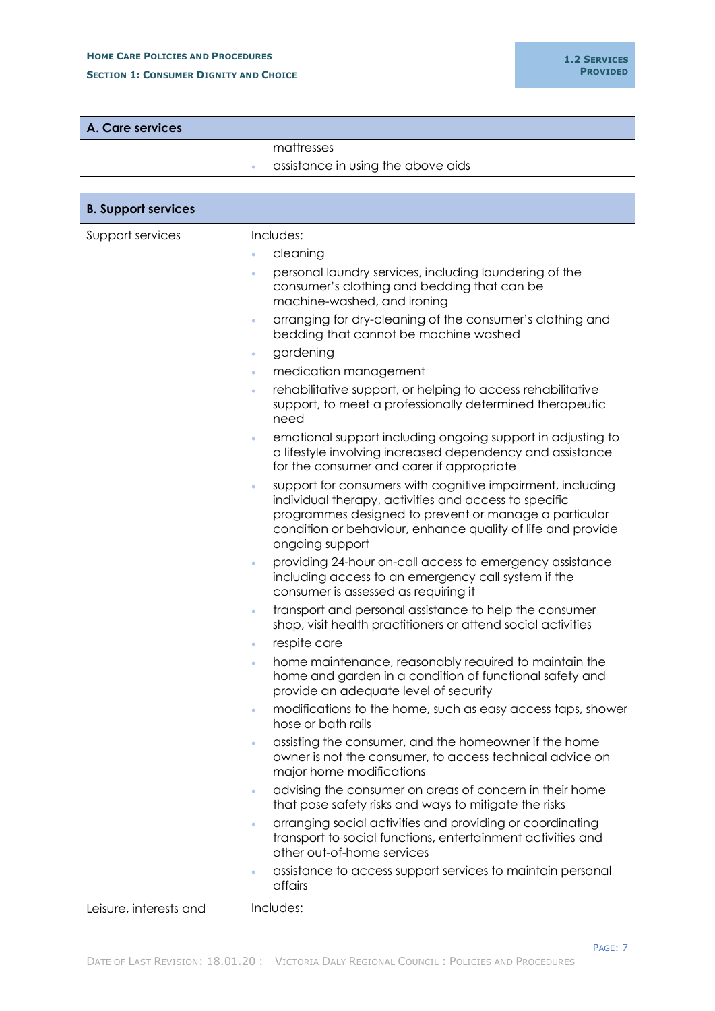# **HOME CARE POLICIES AND PROCEDURES SECTION 1: CONSUMER DIGNITY AND CHOICE**

PAGE: 7

| A. Care services |  |                                    |
|------------------|--|------------------------------------|
|                  |  | mattresses                         |
|                  |  | assistance in using the above aids |

| <b>B. Support services</b> |                                                                                                                                                                                                                                                                                                                                                                                                                                                                                                                                                                                                                                                                                                                                                                                                                                                                                                                                                                                                                                                                                                                                                                         |
|----------------------------|-------------------------------------------------------------------------------------------------------------------------------------------------------------------------------------------------------------------------------------------------------------------------------------------------------------------------------------------------------------------------------------------------------------------------------------------------------------------------------------------------------------------------------------------------------------------------------------------------------------------------------------------------------------------------------------------------------------------------------------------------------------------------------------------------------------------------------------------------------------------------------------------------------------------------------------------------------------------------------------------------------------------------------------------------------------------------------------------------------------------------------------------------------------------------|
| Support services           | Includes:<br>cleaning<br>$\bullet$<br>personal laundry services, including laundering of the<br>$\bullet$<br>consumer's clothing and bedding that can be<br>machine-washed, and ironing<br>arranging for dry-cleaning of the consumer's clothing and<br>$\bullet$<br>bedding that cannot be machine washed<br>gardening<br>$\bullet$<br>medication management<br>$\bullet$<br>rehabilitative support, or helping to access rehabilitative<br>$\bullet$<br>support, to meet a professionally determined therapeutic<br>need<br>emotional support including ongoing support in adjusting to<br>$\bullet$<br>a lifestyle involving increased dependency and assistance<br>for the consumer and carer if appropriate<br>support for consumers with cognitive impairment, including<br>$\bullet$<br>individual therapy, activities and access to specific<br>programmes designed to prevent or manage a particular<br>condition or behaviour, enhance quality of life and provide<br>ongoing support<br>providing 24-hour on-call access to emergency assistance<br>$\bullet$<br>including access to an emergency call system if the<br>consumer is assessed as requiring it |
|                            | transport and personal assistance to help the consumer<br>$\bullet$<br>shop, visit health practitioners or attend social activities<br>respite care<br>$\bullet$<br>home maintenance, reasonably required to maintain the<br>$\bullet$<br>home and garden in a condition of functional safety and<br>provide an adequate level of security                                                                                                                                                                                                                                                                                                                                                                                                                                                                                                                                                                                                                                                                                                                                                                                                                              |
|                            | modifications to the home, such as easy access taps, shower<br>hose or bath rails<br>assisting the consumer, and the homeowner if the home<br>owner is not the consumer, to access technical advice on<br>major home modifications                                                                                                                                                                                                                                                                                                                                                                                                                                                                                                                                                                                                                                                                                                                                                                                                                                                                                                                                      |
|                            | advising the consumer on areas of concern in their home<br>$\bullet$<br>that pose safety risks and ways to mitigate the risks<br>arranging social activities and providing or coordinating<br>$\bullet$<br>transport to social functions, entertainment activities and<br>other out-of-home services                                                                                                                                                                                                                                                                                                                                                                                                                                                                                                                                                                                                                                                                                                                                                                                                                                                                    |
| Leisure, interests and     | assistance to access support services to maintain personal<br>$\bullet$<br>affairs<br>Includes:                                                                                                                                                                                                                                                                                                                                                                                                                                                                                                                                                                                                                                                                                                                                                                                                                                                                                                                                                                                                                                                                         |
|                            |                                                                                                                                                                                                                                                                                                                                                                                                                                                                                                                                                                                                                                                                                                                                                                                                                                                                                                                                                                                                                                                                                                                                                                         |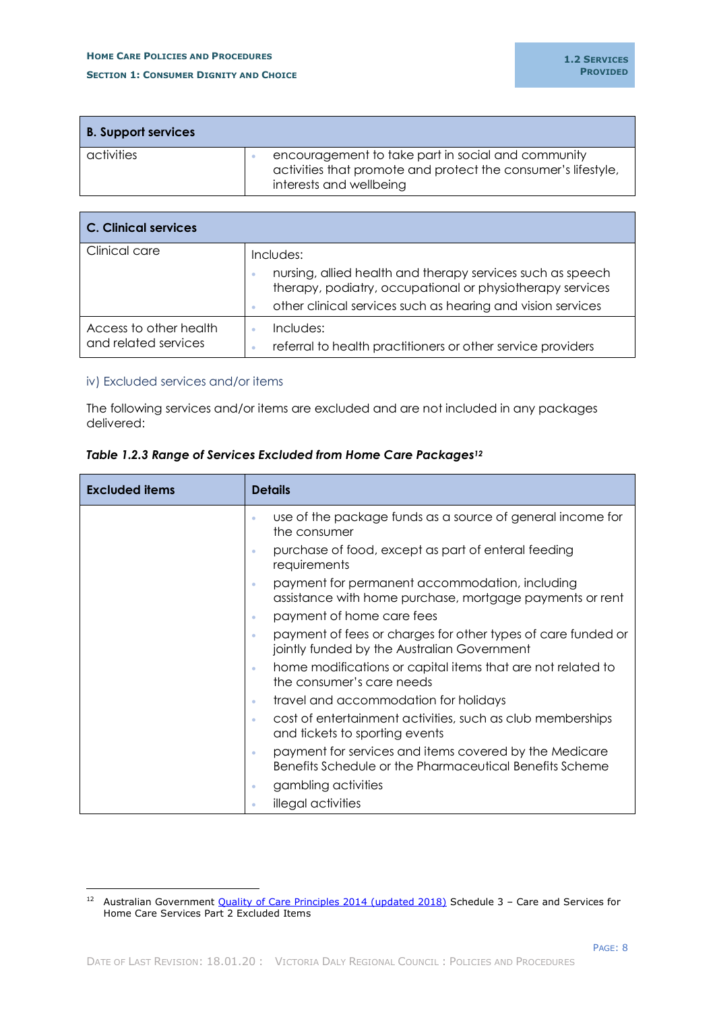| <b>B.</b> Support services |                                                                                                                                                |
|----------------------------|------------------------------------------------------------------------------------------------------------------------------------------------|
| activities                 | encouragement to take part in social and community<br>activities that promote and protect the consumer's lifestyle,<br>interests and wellbeing |

| C. Clinical services                           |                                                                                                                                                                                                          |
|------------------------------------------------|----------------------------------------------------------------------------------------------------------------------------------------------------------------------------------------------------------|
| Clinical care                                  | Includes:<br>nursing, allied health and therapy services such as speech<br>therapy, podiatry, occupational or physiotherapy services<br>other clinical services such as hearing and vision services<br>۰ |
| Access to other health<br>and related services | Includes:<br>referral to health practitioners or other service providers                                                                                                                                 |

## <span id="page-10-0"></span>iv) Excluded services and/or items

-

The following services and/or items are excluded and are not included in any packages delivered:

| <b>Excluded items</b> | <b>Details</b>                                                                                                         |
|-----------------------|------------------------------------------------------------------------------------------------------------------------|
|                       | use of the package funds as a source of general income for<br>۰<br>the consumer                                        |
|                       | purchase of food, except as part of enteral feeding<br>۰<br>requirements                                               |
|                       | payment for permanent accommodation, including<br>۰<br>assistance with home purchase, mortgage payments or rent        |
|                       | payment of home care fees<br>۰                                                                                         |
|                       | payment of fees or charges for other types of care funded or<br>۰<br>jointly funded by the Australian Government       |
|                       | home modifications or capital items that are not related to<br>۰<br>the consumer's care needs                          |
|                       | travel and accommodation for holidays<br>۰                                                                             |
|                       | cost of entertainment activities, such as club memberships<br>۰<br>and tickets to sporting events                      |
|                       | payment for services and items covered by the Medicare<br>۰<br>Benefits Schedule or the Pharmaceutical Benefits Scheme |
|                       | gambling activities<br>۰                                                                                               |
|                       | illegal activities                                                                                                     |

## *Table 1.2.3 Range of Services Excluded from Home Care Packages<sup>12</sup>*

<sup>&</sup>lt;sup>12</sup> Australian Government [Quality of Care Principles 2014 \(updated 2018\)](https://www.legislation.gov.au/Details/F2018C00294) Schedule 3 - Care and Services for Home Care Services Part 2 Excluded Items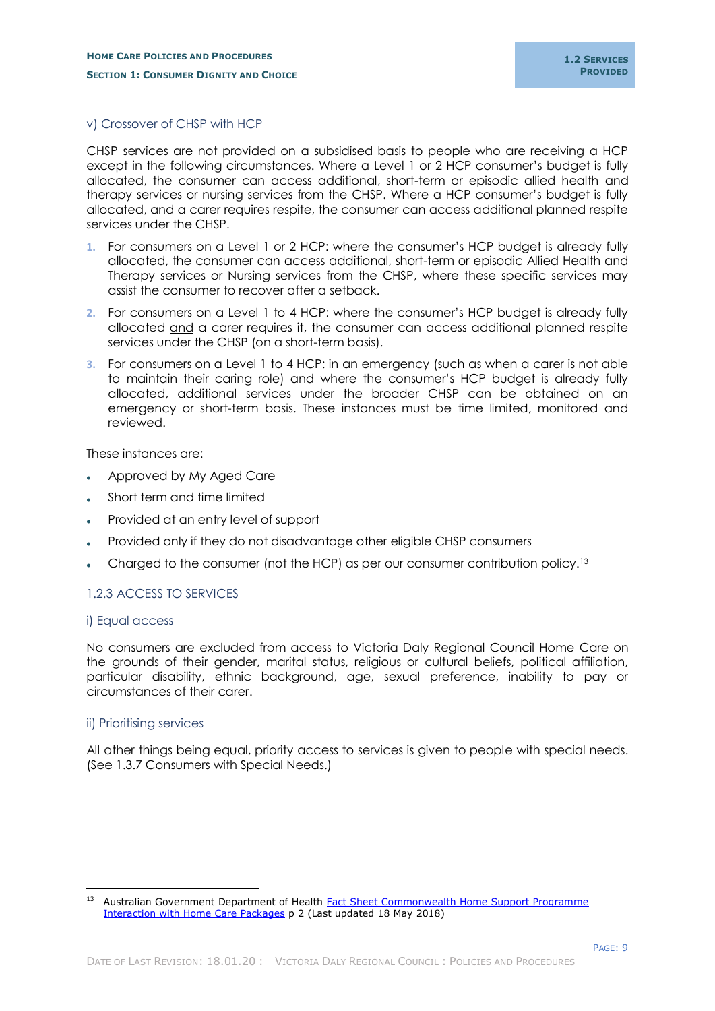#### <span id="page-11-0"></span>v) Crossover of CHSP with HCP

CHSP services are not provided on a subsidised basis to people who are receiving a HCP except in the following circumstances. Where a Level 1 or 2 HCP consumer's budget is fully allocated, the consumer can access additional, short-term or episodic allied health and therapy services or nursing services from the CHSP. Where a HCP consumer's budget is fully allocated, and a carer requires respite, the consumer can access additional planned respite services under the CHSP.

- **1.** For consumers on a Level 1 or 2 HCP: where the consumer's HCP budget is already fully allocated, the consumer can access additional, short-term or episodic Allied Health and Therapy services or Nursing services from the CHSP, where these specific services may assist the consumer to recover after a setback.
- **2.** For consumers on a Level 1 to 4 HCP: where the consumer's HCP budget is already fully allocated and a carer requires it, the consumer can access additional planned respite services under the CHSP (on a short-term basis).
- **3.** For consumers on a Level 1 to 4 HCP: in an emergency (such as when a carer is not able to maintain their caring role) and where the consumer's HCP budget is already fully allocated, additional services under the broader CHSP can be obtained on an emergency or short-term basis. These instances must be time limited, monitored and reviewed.

These instances are:

- Approved by My Aged Care
- Short term and time limited
- Provided at an entry level of support
- Provided only if they do not disadvantage other eligible CHSP consumers
- Charged to the consumer (not the HCP) as per our consumer contribution policy.<sup>13</sup>

## <span id="page-11-1"></span>1.2.3 ACCESS TO SERVICES

#### <span id="page-11-2"></span>i) Equal access

No consumers are excluded from access to Victoria Daly Regional Council Home Care on the grounds of their gender, marital status, religious or cultural beliefs, political affiliation, particular disability, ethnic background, age, sexual preference, inability to pay or circumstances of their carer.

#### <span id="page-11-3"></span>ii) Prioritising services

-

All other things being equal, priority access to services is given to people with special needs. (See 1.3.7 Consumers with Special Needs.)

<sup>&</sup>lt;sup>13</sup> Australian Government Department of Health Fact Sheet Commonwealth Home Support Programme [Interaction with Home Care Packages](https://agedcare.health.gov.au/programs/commonwealth-home-support-programme/resources/interaction-with-home-care-packages/chsp-interaction-with-home-care-packages-factsheet) p 2 (Last updated 18 May 2018)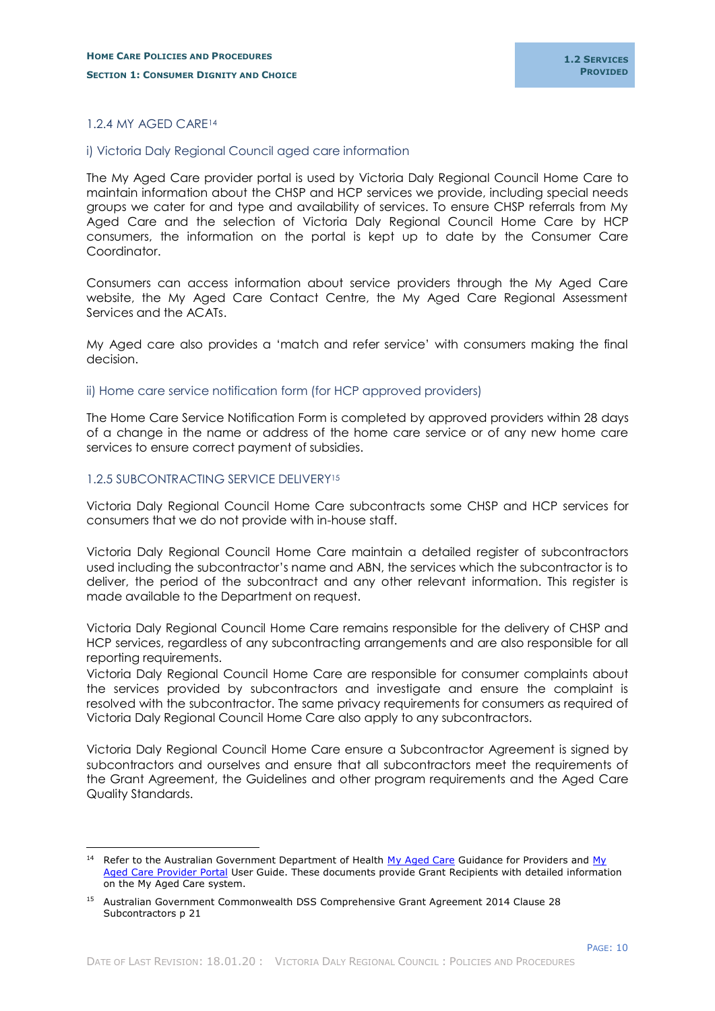#### <span id="page-12-0"></span>1.2.4 MY AGED CARE<sup>14</sup>

#### <span id="page-12-1"></span>i) Victoria Daly Regional Council aged care information

The My Aged Care provider portal is used by Victoria Daly Regional Council Home Care to maintain information about the CHSP and HCP services we provide, including special needs groups we cater for and type and availability of services. To ensure CHSP referrals from My Aged Care and the selection of Victoria Daly Regional Council Home Care by HCP consumers, the information on the portal is kept up to date by the Consumer Care Coordinator.

Consumers can access information about service providers through the My Aged Care website, the My Aged Care Contact Centre, the My Aged Care Regional Assessment Services and the ACATs.

My Aged care also provides a 'match and refer service' with consumers making the final decision.

<span id="page-12-2"></span>ii) Home care service notification form (for HCP approved providers)

The Home Care Service Notification Form is completed by approved providers within 28 days of a change in the name or address of the home care service or of any new home care services to ensure correct payment of subsidies.

#### <span id="page-12-3"></span>1.2.5 SUBCONTRACTING SERVICE DELIVERY<sup>15</sup>

-

Victoria Daly Regional Council Home Care subcontracts some CHSP and HCP services for consumers that we do not provide with in-house staff.

Victoria Daly Regional Council Home Care maintain a detailed register of subcontractors used including the subcontractor's name and ABN, the services which the subcontractor is to deliver, the period of the subcontract and any other relevant information. This register is made available to the Department on request.

Victoria Daly Regional Council Home Care remains responsible for the delivery of CHSP and HCP services, regardless of any subcontracting arrangements and are also responsible for all reporting requirements.

Victoria Daly Regional Council Home Care are responsible for consumer complaints about the services provided by subcontractors and investigate and ensure the complaint is resolved with the subcontractor. The same privacy requirements for consumers as required of Victoria Daly Regional Council Home Care also apply to any subcontractors.

Victoria Daly Regional Council Home Care ensure a Subcontractor Agreement is signed by subcontractors and ourselves and ensure that all subcontractors meet the requirements of the Grant Agreement, the Guidelines and other program requirements and the Aged Care Quality Standards.

<sup>&</sup>lt;sup>14</sup> Refer to the Australian Government Department of Health [My Aged Care](https://www.myagedcare.gov.au/) Guidance for Providers and My [Aged Care Provider Portal](https://www.myagedcare.gov.au/service-providers) User Guide. These documents provide Grant Recipients with detailed information on the My Aged Care system.

<sup>15</sup> Australian Government Commonwealth DSS Comprehensive Grant Agreement 2014 Clause 28 Subcontractors p 21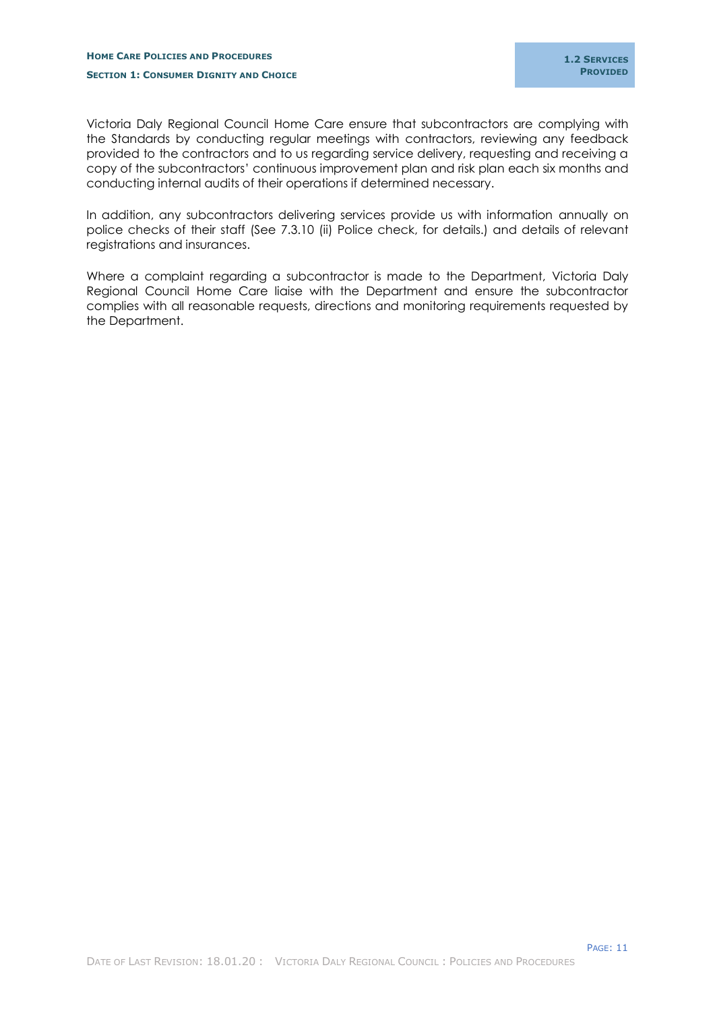PAGE: 11

Victoria Daly Regional Council Home Care ensure that subcontractors are complying with the Standards by conducting regular meetings with contractors, reviewing any feedback provided to the contractors and to us regarding service delivery, requesting and receiving a copy of the subcontractors' continuous improvement plan and risk plan each six months and conducting internal audits of their operations if determined necessary.

In addition, any subcontractors delivering services provide us with information annually on police checks of their staff (See 7.3.10 (ii) Police check, for details.) and details of relevant registrations and insurances.

Where a complaint regarding a subcontractor is made to the Department, Victoria Daly Regional Council Home Care liaise with the Department and ensure the subcontractor complies with all reasonable requests, directions and monitoring requirements requested by the Department.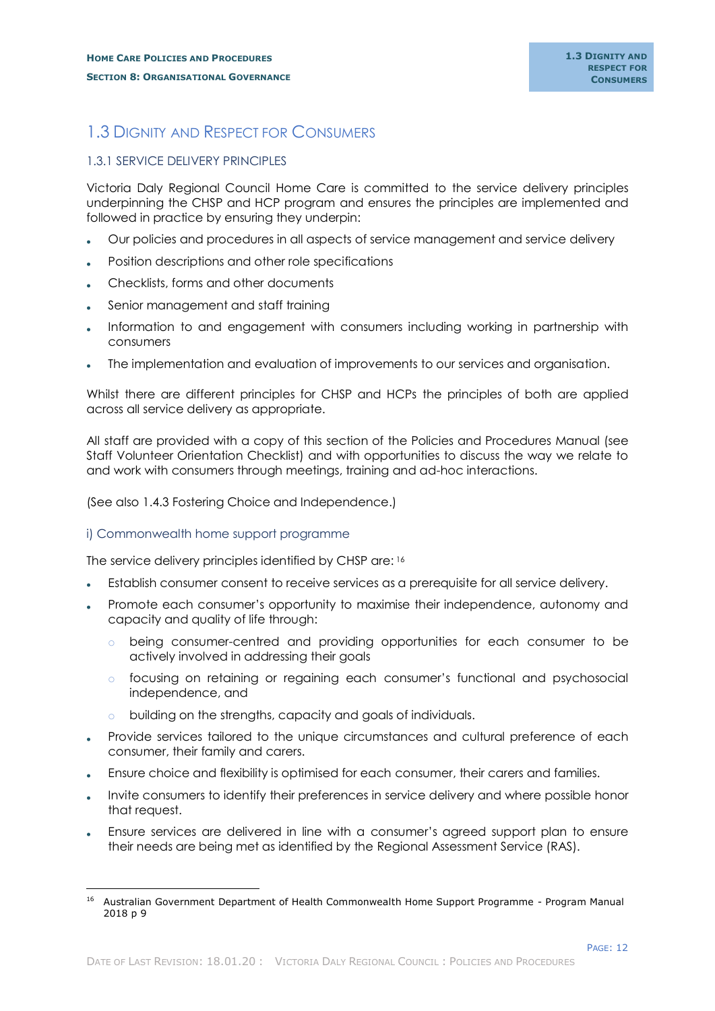# <span id="page-14-0"></span>1.3 DIGNITY AND RESPECT FOR CONSUMERS

# <span id="page-14-1"></span>1.3.1 SERVICE DELIVERY PRINCIPLES

Victoria Daly Regional Council Home Care is committed to the service delivery principles underpinning the CHSP and HCP program and ensures the principles are implemented and followed in practice by ensuring they underpin:

- Our policies and procedures in all aspects of service management and service delivery
- Position descriptions and other role specifications
- Checklists, forms and other documents
- Senior management and staff training
- Information to and engagement with consumers including working in partnership with consumers
- The implementation and evaluation of improvements to our services and organisation.

Whilst there are different principles for CHSP and HCPs the principles of both are applied across all service delivery as appropriate.

All staff are provided with a copy of this section of the Policies and Procedures Manual (see Staff Volunteer Orientation Checklist) and with opportunities to discuss the way we relate to and work with consumers through meetings, training and ad-hoc interactions.

(See also 1.4.3 Fostering Choice and Independence.)

## <span id="page-14-2"></span>i) Commonwealth home support programme

-

The service delivery principles identified by CHSP are: 16

- Establish consumer consent to receive services as a prerequisite for all service delivery.
- Promote each consumer's opportunity to maximise their independence, autonomy and capacity and quality of life through:
	- o being consumer-centred and providing opportunities for each consumer to be actively involved in addressing their goals
	- o focusing on retaining or regaining each consumer's functional and psychosocial independence, and
	- o building on the strengths, capacity and goals of individuals.
- Provide services tailored to the unique circumstances and cultural preference of each consumer, their family and carers.
- Ensure choice and flexibility is optimised for each consumer, their carers and families.
- Invite consumers to identify their preferences in service delivery and where possible honor that request.
- Ensure services are delivered in line with a consumer's agreed support plan to ensure their needs are being met as identified by the Regional Assessment Service (RAS).

<sup>&</sup>lt;sup>16</sup> Australian Government Department of Health Commonwealth Home Support Programme - Program Manual 2018 p 9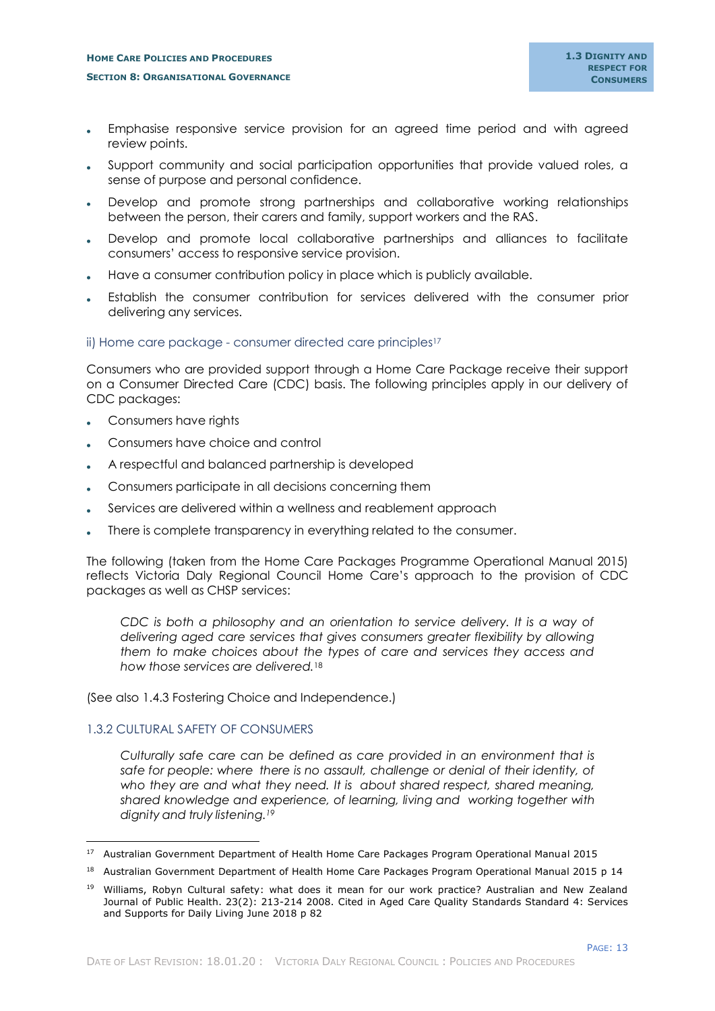- Emphasise responsive service provision for an agreed time period and with agreed review points.
- Support community and social participation opportunities that provide valued roles, a sense of purpose and personal confidence.
- Develop and promote strong partnerships and collaborative working relationships between the person, their carers and family, support workers and the RAS.
- Develop and promote local collaborative partnerships and alliances to facilitate consumers' access to responsive service provision.
- Have a consumer contribution policy in place which is publicly available.
- Establish the consumer contribution for services delivered with the consumer prior delivering any services.

#### <span id="page-15-0"></span>ii) Home care package - consumer directed care principles<sup>17</sup>

Consumers who are provided support through a Home Care Package receive their support on a Consumer Directed Care (CDC) basis. The following principles apply in our delivery of CDC packages:

- Consumers have rights
- Consumers have choice and control
- A respectful and balanced partnership is developed
- Consumers participate in all decisions concerning them
- Services are delivered within a wellness and reablement approach
- There is complete transparency in everything related to the consumer.

The following (taken from the Home Care Packages Programme Operational Manual 2015) reflects Victoria Daly Regional Council Home Care's approach to the provision of CDC packages as well as CHSP services:

*CDC is both a philosophy and an orientation to service delivery. It is a way of delivering aged care services that gives consumers greater flexibility by allowing them to make choices about the types of care and services they access and how those services are delivered.*<sup>18</sup>

(See also 1.4.3 Fostering Choice and Independence.)

## <span id="page-15-1"></span>1.3.2 CULTURAL SAFETY OF CONSUMERS

i,

*Culturally safe care can be defined as care provided in an environment that is safe for people: where there is no assault, challenge or denial of their identity, of who they are and what they need. It is about shared respect, shared meaning, shared knowledge and experience, of learning, living and working together with dignity and truly listening.<sup>19</sup>*

<sup>17</sup> Australian Government Department of Health Home Care Packages Program Operational Manual 2015

<sup>&</sup>lt;sup>18</sup> Australian Government Department of Health Home Care Packages Program Operational Manual 2015 p 14

<sup>&</sup>lt;sup>19</sup> Williams, Robyn Cultural safety: what does it mean for our work practice? Australian and New Zealand Journal of Public Health. 23(2): 213-214 2008. Cited in Aged Care Quality Standards Standard 4: Services and Supports for Daily Living June 2018 p 82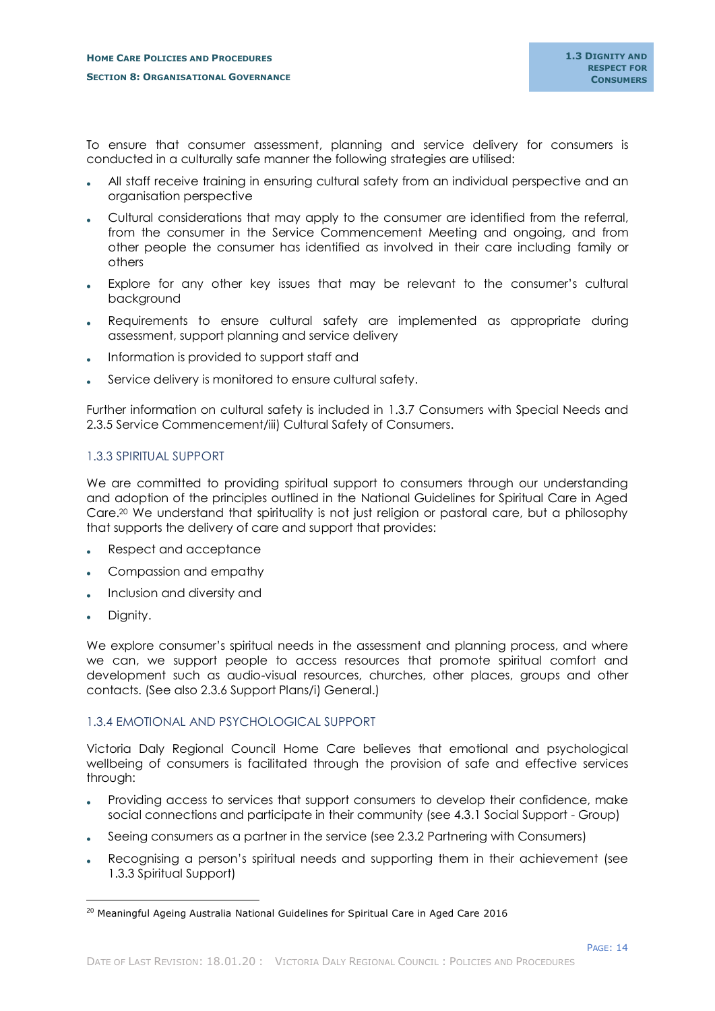To ensure that consumer assessment, planning and service delivery for consumers is conducted in a culturally safe manner the following strategies are utilised:

- All staff receive training in ensuring cultural safety from an individual perspective and an organisation perspective
- Cultural considerations that may apply to the consumer are identified from the referral, from the consumer in the Service Commencement Meeting and ongoing, and from other people the consumer has identified as involved in their care including family or others
- Explore for any other key issues that may be relevant to the consumer's cultural background
- Requirements to ensure cultural safety are implemented as appropriate during assessment, support planning and service delivery
- Information is provided to support staff and
- Service delivery is monitored to ensure cultural safety.

Further information on cultural safety is included in 1.3.7 Consumers with Special Needs and 2.3.5 Service Commencement/iii) Cultural Safety of Consumers.

## <span id="page-16-0"></span>1.3.3 SPIRITUAL SUPPORT

We are committed to providing spiritual support to consumers through our understanding and adoption of the principles outlined in the National Guidelines for Spiritual Care in Aged Care.<sup>20</sup> We understand that spirituality is not just religion or pastoral care, but a philosophy that supports the delivery of care and support that provides:

- Respect and acceptance
- Compassion and empathy
- Inclusion and diversity and
- Dignity.

-

We explore consumer's spiritual needs in the assessment and planning process, and where we can, we support people to access resources that promote spiritual comfort and development such as audio-visual resources, churches, other places, groups and other contacts. (See also 2.3.6 Support Plans/i) General.)

## <span id="page-16-1"></span>1.3.4 EMOTIONAL AND PSYCHOLOGICAL SUPPORT

Victoria Daly Regional Council Home Care believes that emotional and psychological wellbeing of consumers is facilitated through the provision of safe and effective services through:

- Providing access to services that support consumers to develop their confidence, make social connections and participate in their community (see 4.3.1 Social Support - Group)
- Seeing consumers as a partner in the service (see 2.3.2 Partnering with Consumers)
- Recognising a person's spiritual needs and supporting them in their achievement (see 1.3.3 Spiritual Support)

<sup>&</sup>lt;sup>20</sup> Meaningful Ageing Australia National Guidelines for Spiritual Care in Aged Care 2016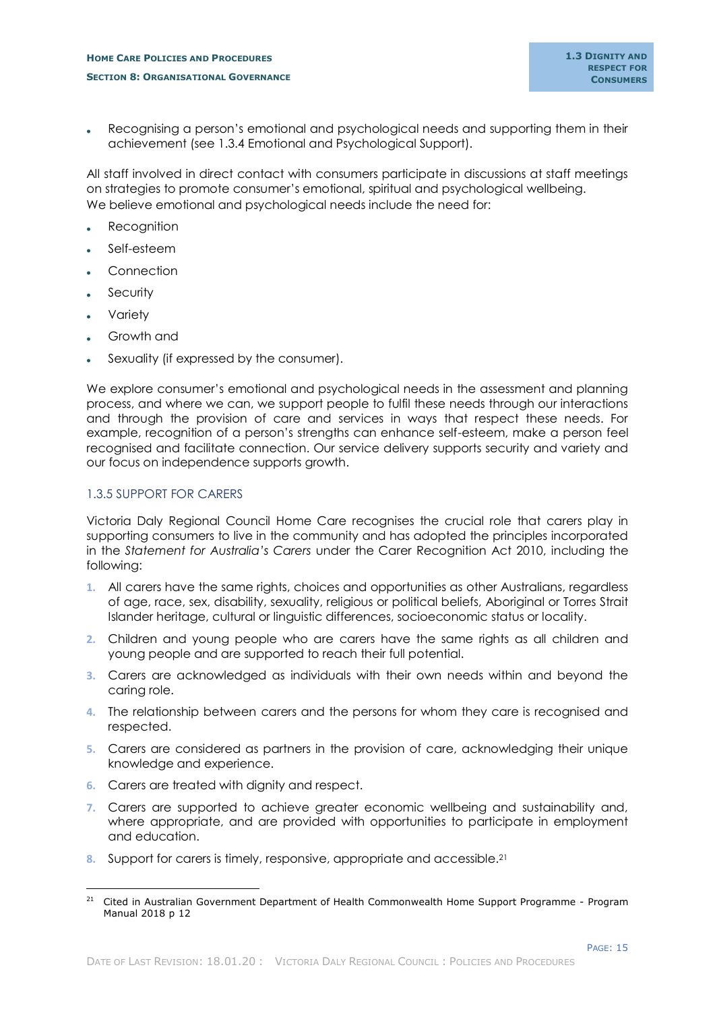Recognising a person's emotional and psychological needs and supporting them in their achievement (see 1.3.4 Emotional and Psychological Support).

All staff involved in direct contact with consumers participate in discussions at staff meetings on strategies to promote consumer's emotional, spiritual and psychological wellbeing. We believe emotional and psychological needs include the need for:

- **Recognition**
- Self-esteem
- Connection
- **Security**
- Variety

-

- Growth and
- Sexuality (if expressed by the consumer).

We explore consumer's emotional and psychological needs in the assessment and planning process, and where we can, we support people to fulfil these needs through our interactions and through the provision of care and services in ways that respect these needs. For example, recognition of a person's strengths can enhance self-esteem, make a person feel recognised and facilitate connection. Our service delivery supports security and variety and our focus on independence supports growth.

## <span id="page-17-0"></span>1.3.5 SUPPORT FOR CARERS

Victoria Daly Regional Council Home Care recognises the crucial role that carers play in supporting consumers to live in the community and has adopted the principles incorporated in the *Statement for Australia's Carers* under the Carer Recognition Act 2010, including the following:

- **1.** All [carers](http://www.austlii.edu.au/au/legis/cth/num_act/cra2010179/s4.html#carer) have the same rights, choices and opportunities as other Australians, regardless of age, race, sex, disability, sexuality, religious or political beliefs, Aboriginal or Torres Strait Islander heritage, cultural or linguistic differences, socioeconomic status or locality.
- **2.** Children and young people who are [carers](http://www.austlii.edu.au/au/legis/cth/num_act/cra2010179/s4.html#carer) have the same rights as all children and young people and are supported to reach their full potential.
- **3.** [Carers](http://www.austlii.edu.au/au/legis/cth/num_act/cra2010179/s4.html#carer) are acknowledged as individuals with their own needs within and beyond the caring role.
- **4.** The relationship between [carers](http://www.austlii.edu.au/au/legis/cth/num_act/cra2010179/s4.html#carer) and the persons for whom they care is recognised and respected.
- **5.** [Carers](http://www.austlii.edu.au/au/legis/cth/num_act/cra2010179/s4.html#carer) are considered as partners in the provision of care, acknowledging their unique knowledge and experience.
- **6.** [Carers](http://www.austlii.edu.au/au/legis/cth/num_act/cra2010179/s4.html#carer) are treated with dignity and respect.
- **7.** [Carers](http://www.austlii.edu.au/au/legis/cth/num_act/cra2010179/s4.html#carer) are supported to achieve greater economic wellbeing and sustainability and, where appropriate, and are provided with opportunities to participate in employment and education.
- **8.** Support for [carers](http://www.austlii.edu.au/au/legis/cth/num_act/cra2010179/s4.html#carer) is timely, responsive, appropriate and accessible.<sup>21</sup>

<sup>&</sup>lt;sup>21</sup> Cited in Australian Government Department of Health Commonwealth Home Support Programme - Program Manual 2018 p 12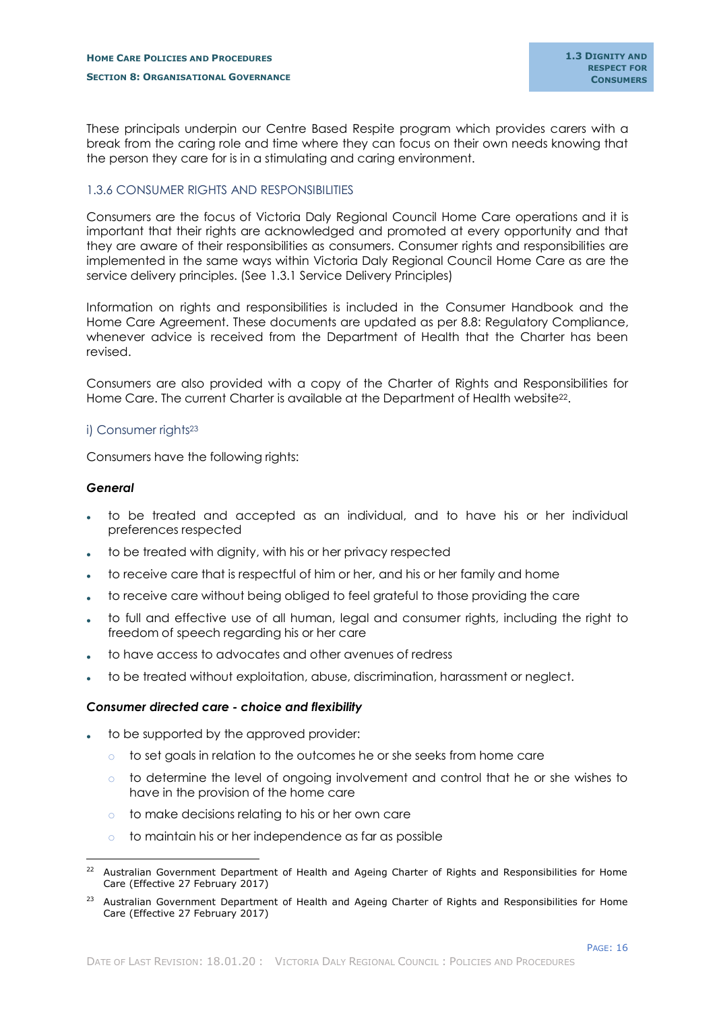These principals underpin our Centre Based Respite program which provides carers with a break from the caring role and time where they can focus on their own needs knowing that the person they care for is in a stimulating and caring environment.

## <span id="page-18-0"></span>1.3.6 CONSUMER RIGHTS AND RESPONSIBILITIES

Consumers are the focus of Victoria Daly Regional Council Home Care operations and it is important that their rights are acknowledged and promoted at every opportunity and that they are aware of their responsibilities as consumers. Consumer rights and responsibilities are implemented in the same ways within Victoria Daly Regional Council Home Care as are the service delivery principles. (See 1.3.1 Service Delivery Principles)

Information on rights and responsibilities is included in the Consumer Handbook and the Home Care Agreement. These documents are updated as per 8.8: Regulatory Compliance, whenever advice is received from the Department of Health that the Charter has been revised.

Consumers are also provided with a copy of the Charter of Rights and Responsibilities for Home Care. The current Charter is available at the Department of Health website<sup>22</sup>.

#### <span id="page-18-1"></span>i) Consumer rights<sup>23</sup>

Consumers have the following rights:

#### *General*

-

- to be treated and accepted as an individual, and to have his or her individual preferences respected
- to be treated with dignity, with his or her privacy respected
- to receive care that is respectful of him or her, and his or her family and home
- to receive care without being obliged to feel grateful to those providing the care
- to full and effective use of all human, legal and consumer rights, including the right to freedom of speech regarding his or her care
- to have access to advocates and other avenues of redress
- to be treated without exploitation, abuse, discrimination, harassment or neglect.

#### *Consumer directed care - choice and flexibility*

- to be supported by the approved provider:
	- $\circ$  to set goals in relation to the outcomes he or she seeks from home care
	- $\circ$  to determine the level of ongoing involvement and control that he or she wishes to have in the provision of the home care
	- o to make decisions relating to his or her own care
	- o to maintain his or her independence as far as possible

<sup>&</sup>lt;sup>22</sup> Australian Government Department of Health and Ageing Charter of Rights and Responsibilities for Home Care (Effective 27 February 2017)

<sup>&</sup>lt;sup>23</sup> Australian Government Department of Health and Ageing Charter of Rights and Responsibilities for Home Care (Effective 27 February 2017)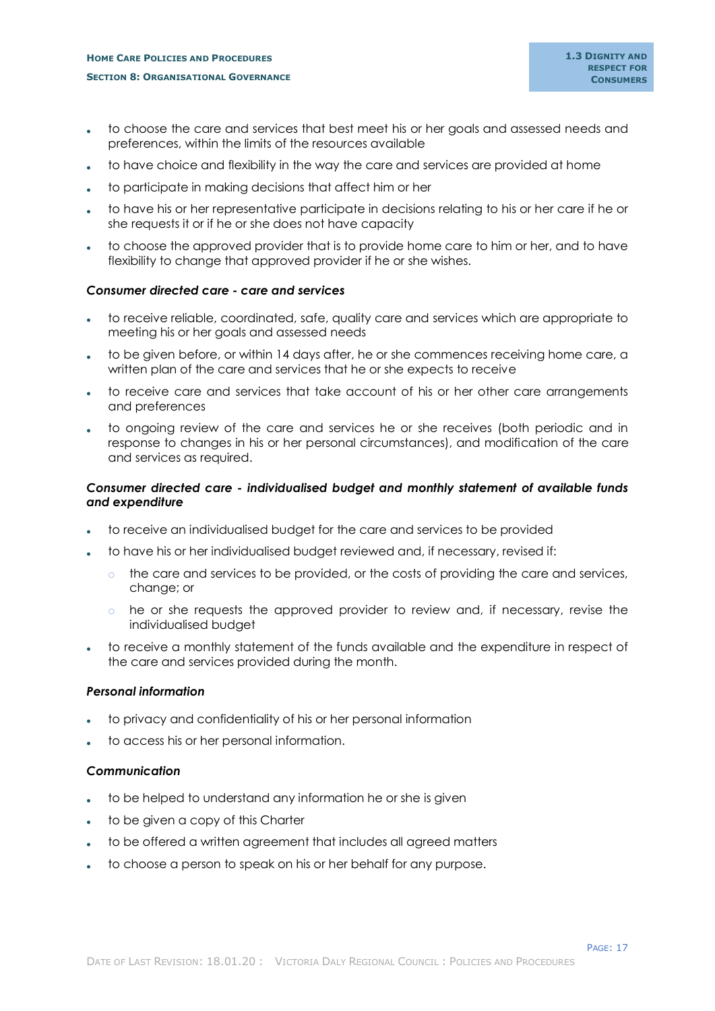- to choose the care and services that best meet his or her goals and assessed needs and preferences, within the limits of the resources available
- to have choice and flexibility in the way the care and services are provided at home
- to participate in making decisions that affect him or her
- to have his or her representative participate in decisions relating to his or her care if he or she requests it or if he or she does not have capacity
- to choose the approved provider that is to provide home care to him or her, and to have flexibility to change that approved provider if he or she wishes.

#### *Consumer directed care - care and services*

- to receive reliable, coordinated, safe, quality care and services which are appropriate to meeting his or her goals and assessed needs
- to be given before, or within 14 days after, he or she commences receiving home care, a written plan of the care and services that he or she expects to receive
- to receive care and services that take account of his or her other care arrangements and preferences
- to ongoing review of the care and services he or she receives (both periodic and in response to changes in his or her personal circumstances), and modification of the care and services as required.

## *Consumer directed care - individualised budget and monthly statement of available funds and expenditure*

- to receive an individualised budget for the care and services to be provided
- to have his or her individualised budget reviewed and, if necessary, revised if:
	- $\circ$  the care and services to be provided, or the costs of providing the care and services, change; or
	- $\circ$  he or she requests the approved provider to review and, if necessary, revise the individualised budget
- to receive a monthly statement of the funds available and the expenditure in respect of the care and services provided during the month.

#### *Personal information*

- to privacy and confidentiality of his or her personal information
- to access his or her personal information.

## *Communication*

- to be helped to understand any information he or she is given
- to be given a copy of this Charter
- to be offered a written agreement that includes all agreed matters
- to choose a person to speak on his or her behalf for any purpose.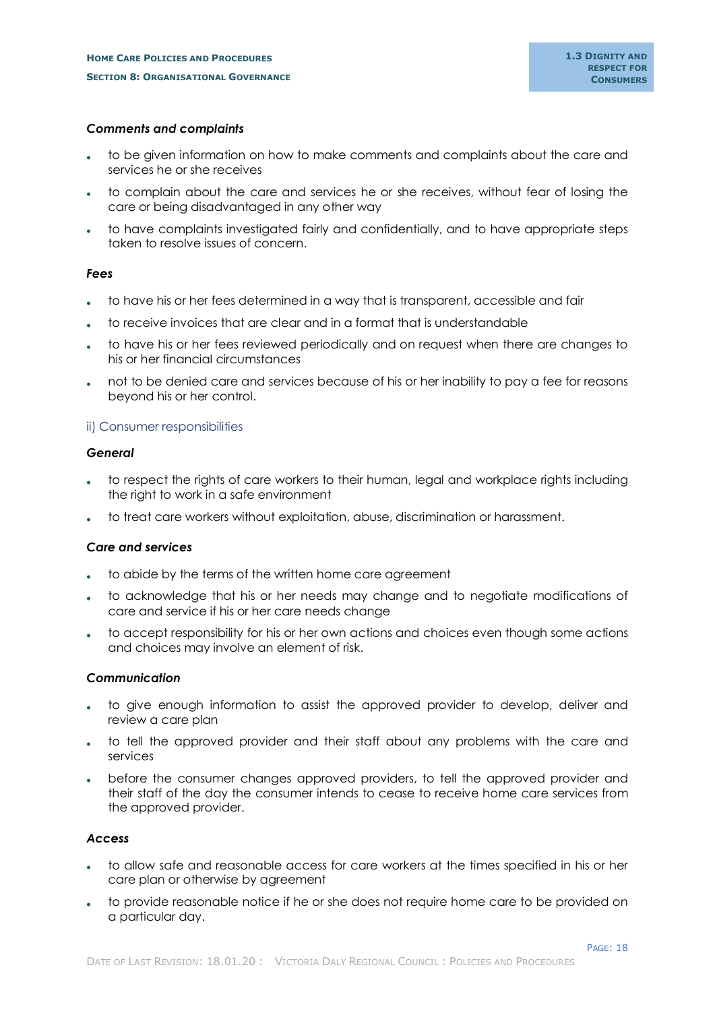#### *Comments and complaints*

- to be given information on how to make comments and complaints about the care and services he or she receives
- to complain about the care and services he or she receives, without fear of losing the care or being disadvantaged in any other way
- to have complaints investigated fairly and confidentially, and to have appropriate steps taken to resolve issues of concern.

#### *Fees*

- to have his or her fees determined in a way that is transparent, accessible and fair
- to receive invoices that are clear and in a format that is understandable
- to have his or her fees reviewed periodically and on request when there are changes to his or her financial circumstances
- not to be denied care and services because of his or her inability to pay a fee for reasons beyond his or her control.

## <span id="page-20-0"></span>ii) Consumer responsibilities

#### *General*

- to respect the rights of care workers to their human, legal and workplace rights including the right to work in a safe environment
- to treat care workers without exploitation, abuse, discrimination or harassment.

## *Care and services*

- to abide by the terms of the written home care agreement
- to acknowledge that his or her needs may change and to negotiate modifications of care and service if his or her care needs change
- to accept responsibility for his or her own actions and choices even though some actions and choices may involve an element of risk.

## *Communication*

- to give enough information to assist the approved provider to develop, deliver and review a care plan
- to tell the approved provider and their staff about any problems with the care and services
- before the consumer changes approved providers, to tell the approved provider and their staff of the day the consumer intends to cease to receive home care services from the approved provider.

## *Access*

- to allow safe and reasonable access for care workers at the times specified in his or her care plan or otherwise by agreement
- to provide reasonable notice if he or she does not require home care to be provided on a particular day.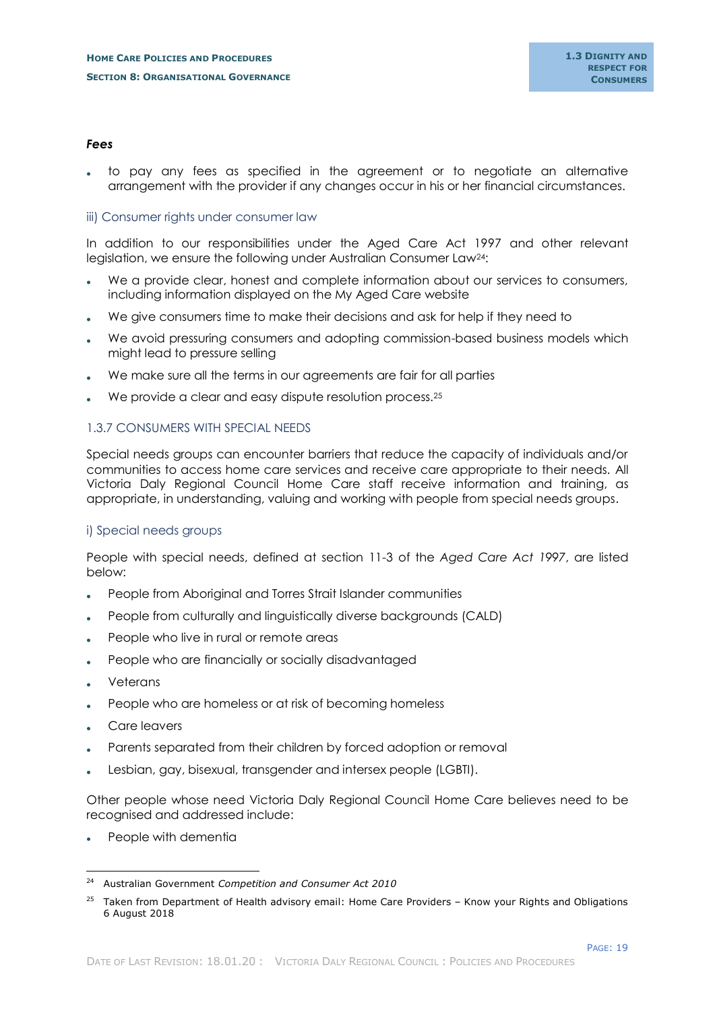#### *Fees*

 to pay any fees as specified in the agreement or to negotiate an alternative arrangement with the provider if any changes occur in his or her financial circumstances.

#### <span id="page-21-0"></span>iii) Consumer rights under consumer law

In addition to our responsibilities under the Aged Care Act 1997 and other relevant legislation, we ensure the following under Australian Consumer Law24:

- We a provide clear, honest and complete information about our services to consumers, including information displayed on the My Aged Care website
- We give consumers time to make their decisions and ask for help if they need to
- We avoid pressuring consumers and adopting commission-based business models which might lead to pressure selling
- We make sure all the terms in our agreements are fair for all parties
- We provide a clear and easy dispute resolution process.<sup>25</sup>

#### <span id="page-21-1"></span>1.3.7 CONSUMERS WITH SPECIAL NEEDS

Special needs groups can encounter barriers that reduce the capacity of individuals and/or communities to access home care services and receive care appropriate to their needs. All Victoria Daly Regional Council Home Care staff receive information and training, as appropriate, in understanding, valuing and working with people from special needs groups.

#### <span id="page-21-2"></span>i) Special needs groups

People with special needs, defined at section 11-3 of the *Aged Care Act 1997*, are listed below:

- People from Aboriginal and Torres Strait Islander communities
- People from culturally and linguistically diverse backgrounds (CALD)
- People who live in rural or remote areas
- People who are financially or socially disadvantaged
- Veterans

-

- People who are homeless or at risk of becoming homeless
- Care leavers
- Parents separated from their children by forced adoption or removal
- Lesbian, gay, bisexual, transgender and intersex people (LGBTI).

Other people whose need Victoria Daly Regional Council Home Care believes need to be recognised and addressed include:

People with dementia

<sup>24</sup> Australian Government *Competition and Consumer Act 2010*

<sup>&</sup>lt;sup>25</sup> Taken from Department of Health advisory email: Home Care Providers – Know your Rights and Obligations 6 August 2018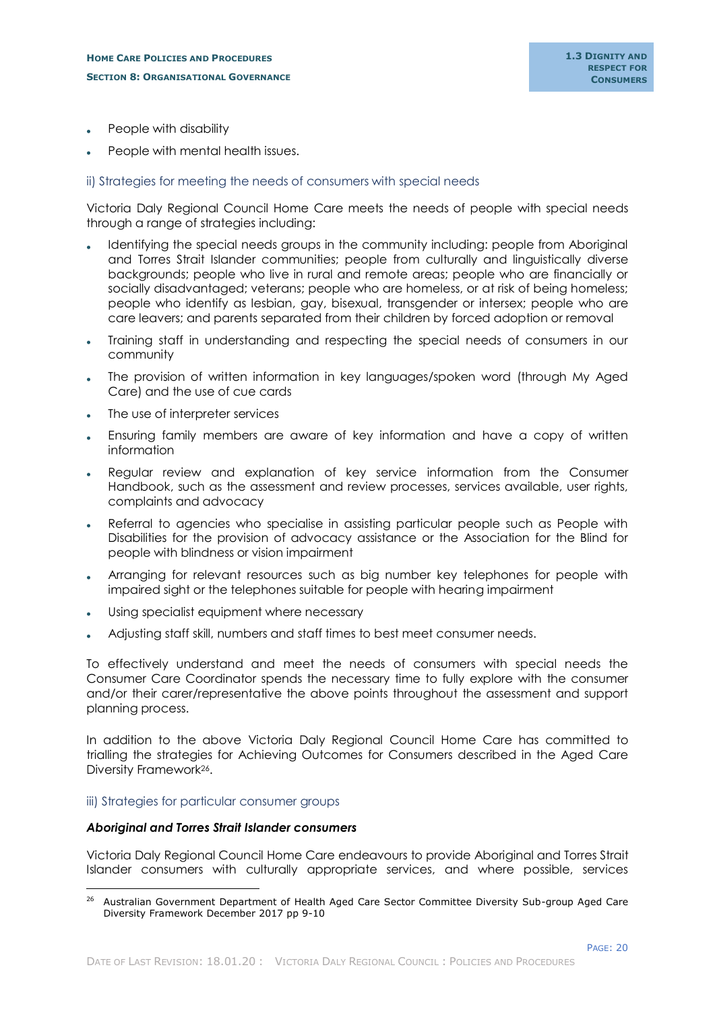- People with disability
- People with mental health issues.

## <span id="page-22-0"></span>ii) Strategies for meeting the needs of consumers with special needs

Victoria Daly Regional Council Home Care meets the needs of people with special needs through a range of strategies including:

- Identifying the special needs groups in the community including: people from Aboriginal and Torres Strait Islander communities; people from culturally and linguistically diverse backgrounds; people who live in rural and remote areas; people who are financially or socially disadvantaged; veterans; people who are homeless, or at risk of being homeless; people who identify as lesbian, gay, bisexual, transgender or intersex; people who are care leavers; and parents separated from their children by forced adoption or removal
- Training staff in understanding and respecting the special needs of consumers in our community
- The provision of written information in key languages/spoken word (through My Aged Care) and the use of cue cards
- The use of interpreter services
- Ensuring family members are aware of key information and have a copy of written information
- Regular review and explanation of key service information from the Consumer Handbook, such as the assessment and review processes, services available, user rights, complaints and advocacy
- Referral to agencies who specialise in assisting particular people such as People with Disabilities for the provision of advocacy assistance or the Association for the Blind for people with blindness or vision impairment
- Arranging for relevant resources such as big number key telephones for people with impaired sight or the telephones suitable for people with hearing impairment
- Using specialist equipment where necessary
- Adjusting staff skill, numbers and staff times to best meet consumer needs.

To effectively understand and meet the needs of consumers with special needs the Consumer Care Coordinator spends the necessary time to fully explore with the consumer and/or their carer/representative the above points throughout the assessment and support planning process.

In addition to the above Victoria Daly Regional Council Home Care has committed to trialling the strategies for Achieving Outcomes for Consumers described in the Aged Care Diversity Framework26.

## <span id="page-22-1"></span>iii) Strategies for particular consumer groups

-

## *Aboriginal and Torres Strait Islander consumers*

Victoria Daly Regional Council Home Care endeavours to provide Aboriginal and Torres Strait Islander consumers with culturally appropriate services, and where possible, services

<sup>&</sup>lt;sup>26</sup> Australian Government Department of Health Aged Care Sector Committee Diversity Sub-group Aged Care Diversity Framework December 2017 pp 9-10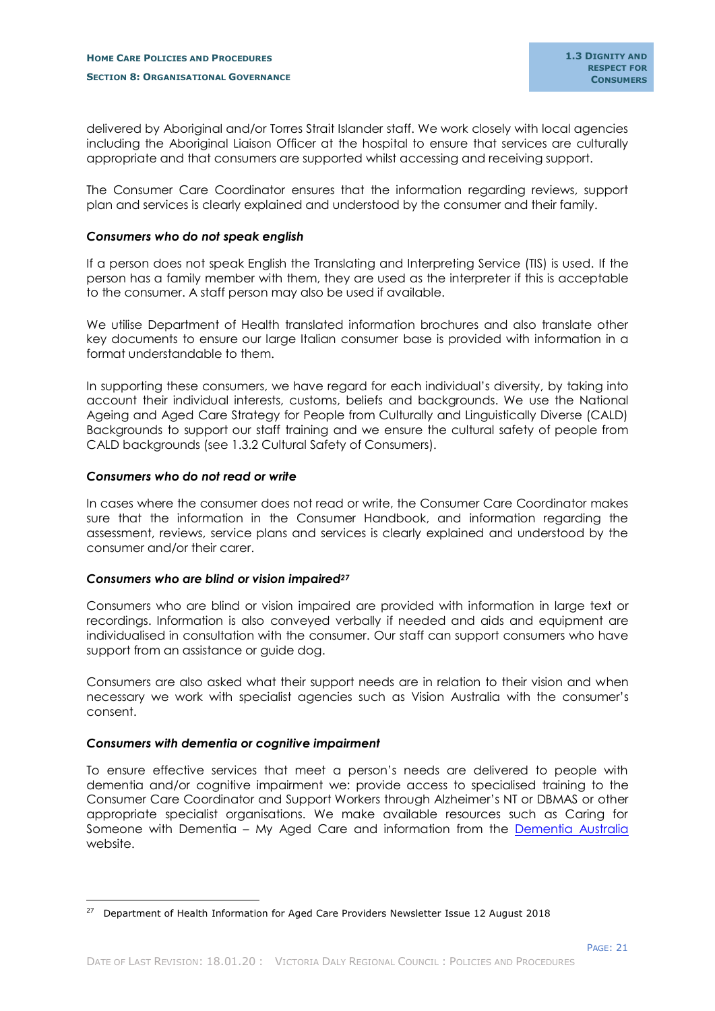delivered by Aboriginal and/or Torres Strait Islander staff. We work closely with local agencies including the Aboriginal Liaison Officer at the hospital to ensure that services are culturally appropriate and that consumers are supported whilst accessing and receiving support.

The Consumer Care Coordinator ensures that the information regarding reviews, support plan and services is clearly explained and understood by the consumer and their family.

#### *Consumers who do not speak english*

If a person does not speak English the Translating and Interpreting Service (TIS) is used. If the person has a family member with them, they are used as the interpreter if this is acceptable to the consumer. A staff person may also be used if available.

We utilise Department of Health translated information brochures and also translate other key documents to ensure our large Italian consumer base is provided with information in a format understandable to them.

In supporting these consumers, we have regard for each individual's diversity, by taking into account their individual interests, customs, beliefs and backgrounds. We use the National Ageing and Aged Care Strategy for People from Culturally and Linguistically Diverse (CALD) Backgrounds to support our staff training and we ensure the cultural safety of people from CALD backgrounds (see 1.3.2 Cultural Safety of Consumers).

#### *Consumers who do not read or write*

In cases where the consumer does not read or write, the Consumer Care Coordinator makes sure that the information in the Consumer Handbook, and information regarding the assessment, reviews, service plans and services is clearly explained and understood by the consumer and/or their carer.

## *Consumers who are blind or vision impaired<sup>27</sup>*

Consumers who are blind or vision impaired are provided with information in large text or recordings. Information is also conveyed verbally if needed and aids and equipment are individualised in consultation with the consumer. Our staff can support consumers who have support from an assistance or guide dog.

Consumers are also asked what their support needs are in relation to their vision and when necessary we work with specialist agencies such as Vision Australia with the consumer's consent.

## *Consumers with dementia or cognitive impairment*

-

To ensure effective services that meet a person's needs are delivered to people with dementia and/or cognitive impairment we: provide access to specialised training to the Consumer Care Coordinator and Support Workers through Alzheimer's NT or DBMAS or other appropriate specialist organisations. We make available resources such as Caring for Someone with Dementia – My Aged Care and information from the [Dementia Australia](https://www.dementia.org.au/) website.

<sup>&</sup>lt;sup>27</sup> Department of Health Information for Aged Care Providers Newsletter Issue 12 August 2018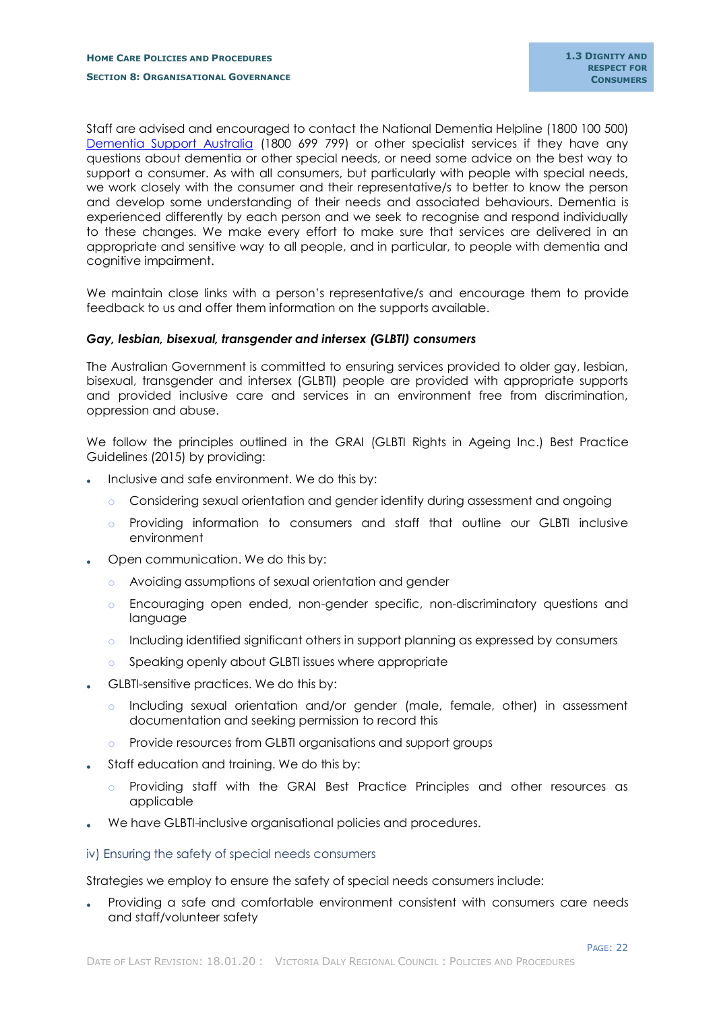Staff are advised and encouraged to contact the National Dementia Helpline (1800 100 500) [Dementia Support Australia](https://www.dementia.com.au/) (1800 699 799) or other specialist services if they have any questions about dementia or other special needs, or need some advice on the best way to support a consumer. As with all consumers, but particularly with people with special needs, we work closely with the consumer and their representative/s to better to know the person and develop some understanding of their needs and associated behaviours. Dementia is experienced differently by each person and we seek to recognise and respond individually to these changes. We make every effort to make sure that services are delivered in an appropriate and sensitive way to all people, and in particular, to people with dementia and cognitive impairment.

We maintain close links with a person's representative/s and encourage them to provide feedback to us and offer them information on the supports available.

#### *Gay, lesbian, bisexual, transgender and intersex (GLBTI) consumers*

The Australian Government is committed to ensuring services provided to older gay, lesbian, bisexual, transgender and intersex (GLBTI) people are provided with appropriate supports and provided inclusive care and services in an environment free from discrimination, oppression and abuse.

We follow the principles outlined in the GRAI (GLBTI Rights in Ageing Inc.) Best Practice Guidelines (2015) by providing:

- Inclusive and safe environment. We do this by:
	- o Considering sexual orientation and gender identity during assessment and ongoing
	- o Providing information to consumers and staff that outline our GLBTI inclusive environment
- Open communication. We do this by:
	- o Avoiding assumptions of sexual orientation and gender
	- o Encouraging open ended, non-gender specific, non-discriminatory questions and language
	- o Including identified significant others in support planning as expressed by consumers
	- o Speaking openly about GLBTI issues where appropriate
- GLBTI-sensitive practices. We do this by:
	- o Including sexual orientation and/or gender (male, female, other) in assessment documentation and seeking permission to record this
	- o Provide resources from GLBTI organisations and support groups
- Staff education and training. We do this by:
	- o Providing staff with the GRAI Best Practice Principles and other resources as applicable
- We have GLBTI-inclusive organisational policies and procedures.
- <span id="page-24-0"></span>iv) Ensuring the safety of special needs consumers

Strategies we employ to ensure the safety of special needs consumers include:

 Providing a safe and comfortable environment consistent with consumers care needs and staff/volunteer safety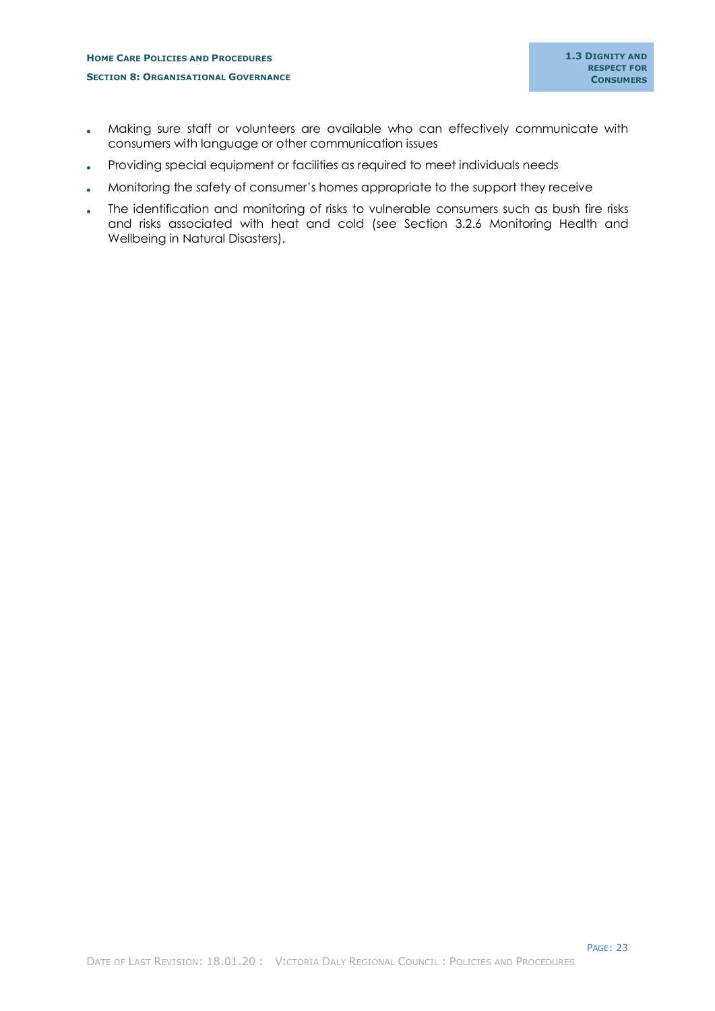- Making sure staff or volunteers are available who can effectively communicate with consumers with language or other communication issues
- Providing special equipment or facilities as required to meet individuals needs
- Monitoring the safety of consumer's homes appropriate to the support they receive
- The identification and monitoring of risks to vulnerable consumers such as bush fire risks and risks associated with heat and cold (see Section 3.2.6 Monitoring Health and Wellbeing in Natural Disasters).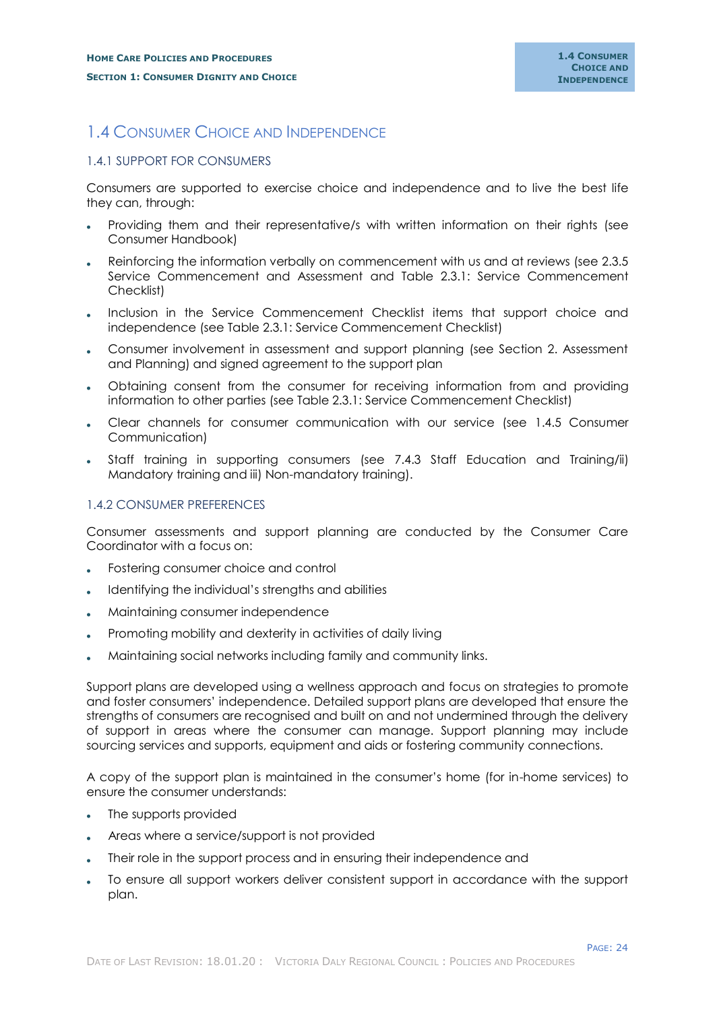# <span id="page-26-0"></span>1.4 CONSUMER CHOICE AND INDEPENDENCE

# <span id="page-26-1"></span>1.4.1 SUPPORT FOR CONSUMERS

Consumers are supported to exercise choice and independence and to live the best life they can, through:

- Providing them and their representative/s with written information on their rights (see Consumer Handbook)
- Reinforcing the information verbally on commencement with us and at reviews (see 2.3.5 Service Commencement and Assessment and Table 2.3.1: Service Commencement Checklist)
- Inclusion in the Service Commencement Checklist items that support choice and independence (see Table 2.3.1: Service Commencement Checklist)
- Consumer involvement in assessment and support planning (see Section 2. Assessment and Planning) and signed agreement to the support plan
- Obtaining consent from the consumer for receiving information from and providing information to other parties (see Table 2.3.1: Service Commencement Checklist)
- Clear channels for consumer communication with our service (see 1.4.5 Consumer Communication)
- Staff training in supporting consumers (see 7.4.3 Staff Education and Training/ii) Mandatory training and iii) Non-mandatory training).

## <span id="page-26-2"></span>1.4.2 CONSUMER PREFERENCES

Consumer assessments and support planning are conducted by the Consumer Care Coordinator with a focus on:

- Fostering consumer choice and control
- Identifying the individual's strengths and abilities
- Maintaining consumer independence
- Promoting mobility and dexterity in activities of daily living
- Maintaining social networks including family and community links.

Support plans are developed using a wellness approach and focus on strategies to promote and foster consumers' independence. Detailed support plans are developed that ensure the strengths of consumers are recognised and built on and not undermined through the delivery of support in areas where the consumer can manage. Support planning may include sourcing services and supports, equipment and aids or fostering community connections.

A copy of the support plan is maintained in the consumer's home (for in-home services) to ensure the consumer understands:

- The supports provided
- Areas where a service/support is not provided
- Their role in the support process and in ensuring their independence and
- To ensure all support workers deliver consistent support in accordance with the support plan.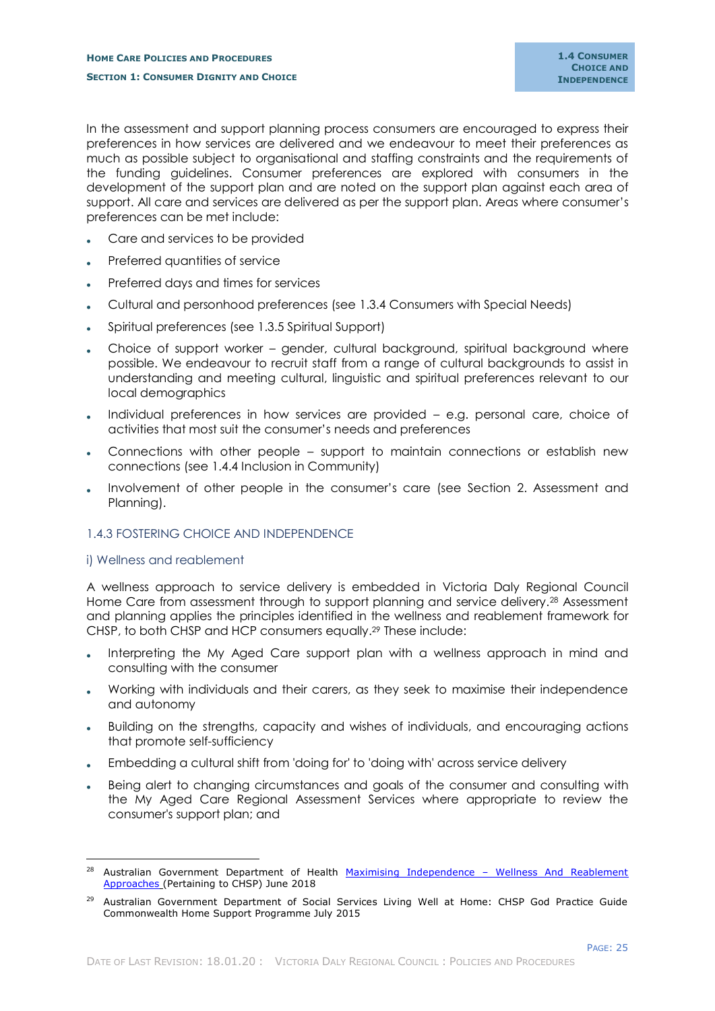In the assessment and support planning process consumers are encouraged to express their preferences in how services are delivered and we endeavour to meet their preferences as much as possible subject to organisational and staffing constraints and the requirements of the funding guidelines. Consumer preferences are explored with consumers in the development of the support plan and are noted on the support plan against each area of support. All care and services are delivered as per the support plan. Areas where consumer's preferences can be met include:

- Care and services to be provided
- Preferred quantities of service
- Preferred days and times for services
- Cultural and personhood preferences (see 1.3.4 Consumers with Special Needs)
- Spiritual preferences (see 1.3.5 Spiritual Support)
- Choice of support worker gender, cultural background, spiritual background where possible. We endeavour to recruit staff from a range of cultural backgrounds to assist in understanding and meeting cultural, linguistic and spiritual preferences relevant to our local demographics
- Individual preferences in how services are provided e.g. personal care, choice of activities that most suit the consumer's needs and preferences
- Connections with other people support to maintain connections or establish new connections (see 1.4.4 Inclusion in Community)
- Involvement of other people in the consumer's care (see Section 2. Assessment and Planning).

# <span id="page-27-0"></span>1.4.3 FOSTERING CHOICE AND INDEPENDENCE

## <span id="page-27-1"></span>i) Wellness and reablement

-

A wellness approach to service delivery is embedded in Victoria Daly Regional Council Home Care from assessment through to support planning and service delivery.<sup>28</sup> Assessment and planning applies the principles identified in the wellness and reablement framework for CHSP, to both CHSP and HCP consumers equally. <sup>29</sup> These include:

- Interpreting the My Aged Care support plan with a wellness approach in mind and consulting with the consumer
- Working with individuals and their carers, as they seek to maximise their independence and autonomy
- Building on the strengths, capacity and wishes of individuals, and encouraging actions that promote self-sufficiency
- Embedding a cultural shift from 'doing for' to 'doing with' across service delivery
- Being alert to changing circumstances and goals of the consumer and consulting with the My Aged Care Regional Assessment Services where appropriate to review the consumer's support plan; and

<sup>&</sup>lt;sup>28</sup> Australian Government Department of Health Maximising Independence - Wellness And Reablement [Approaches](https://agedcare.health.gov.au/programs/commonwealth-home-support-programme/chsp-funding-extension) (Pertaining to CHSP) June 2018

<sup>&</sup>lt;sup>29</sup> Australian Government Department of Social Services Living Well at Home: CHSP God Practice Guide Commonwealth Home Support Programme July 2015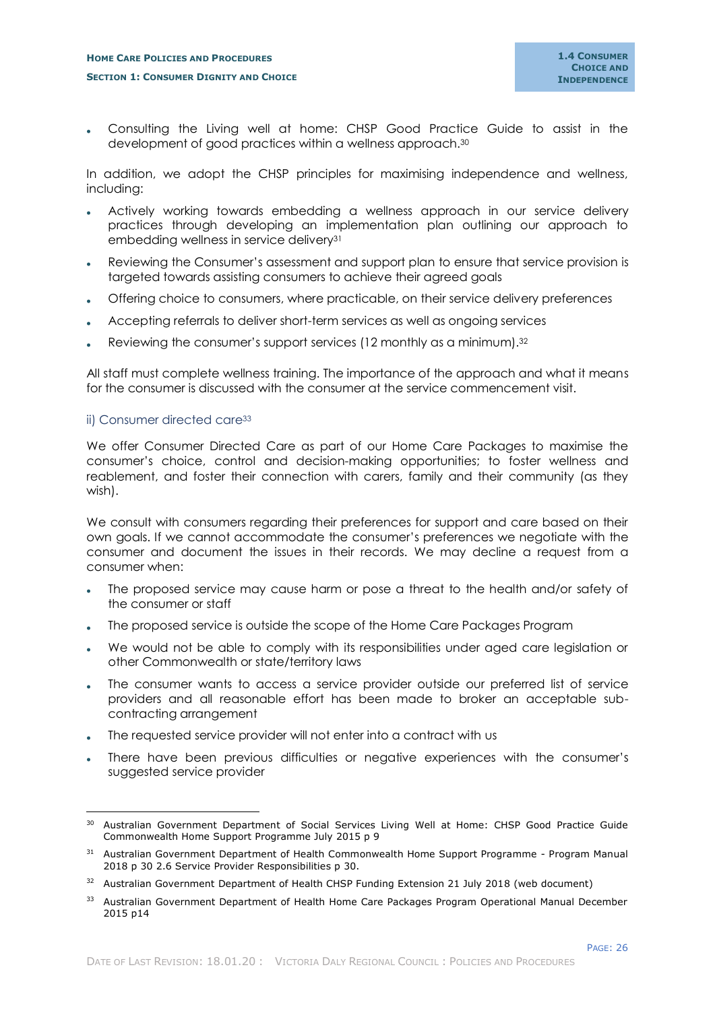Consulting the Living well at home: CHSP Good Practice Guide to assist in the development of good practices within a wellness approach.<sup>30</sup>

In addition, we adopt the CHSP principles for maximising independence and wellness, including:

- Actively working towards embedding a wellness approach in our service delivery practices through developing an implementation plan outlining our approach to embedding wellness in service delivery<sup>31</sup>
- Reviewing the Consumer's assessment and support plan to ensure that service provision is targeted towards assisting consumers to achieve their agreed goals
- Offering choice to consumers, where practicable, on their service delivery preferences
- Accepting referrals to deliver short-term services as well as ongoing services
- Reviewing the consumer's support services (12 monthly as a minimum).<sup>32</sup>

All staff must complete wellness training. The importance of the approach and what it means for the consumer is discussed with the consumer at the service commencement visit.

#### <span id="page-28-0"></span>ii) Consumer directed care<sup>33</sup>

-

We offer Consumer Directed Care as part of our Home Care Packages to maximise the consumer's choice, control and decision-making opportunities; to foster wellness and reablement, and foster their connection with carers, family and their community (as they wish).

We consult with consumers regarding their preferences for support and care based on their own goals. If we cannot accommodate the consumer's preferences we negotiate with the consumer and document the issues in their records. We may decline a request from a consumer when:

- The proposed service may cause harm or pose a threat to the health and/or safety of the consumer or staff
- The proposed service is outside the scope of the Home Care Packages Program
- We would not be able to comply with its responsibilities under aged care legislation or other Commonwealth or state/territory laws
- The consumer wants to access a service provider outside our preferred list of service providers and all reasonable effort has been made to broker an acceptable subcontracting arrangement
- The requested service provider will not enter into a contract with us
- There have been previous difficulties or negative experiences with the consumer's suggested service provider

<sup>&</sup>lt;sup>30</sup> Australian Government Department of Social Services Living Well at Home: CHSP Good Practice Guide Commonwealth Home Support Programme July 2015 p 9

<sup>&</sup>lt;sup>31</sup> Australian Government Department of Health Commonwealth Home Support Programme - Program Manual 2018 p 30 2.6 Service Provider Responsibilities p 30.

<sup>&</sup>lt;sup>32</sup> Australian Government Department of Health CHSP Funding Extension 21 July 2018 (web document)

<sup>33</sup> Australian Government Department of Health Home Care Packages Program Operational Manual December 2015 p14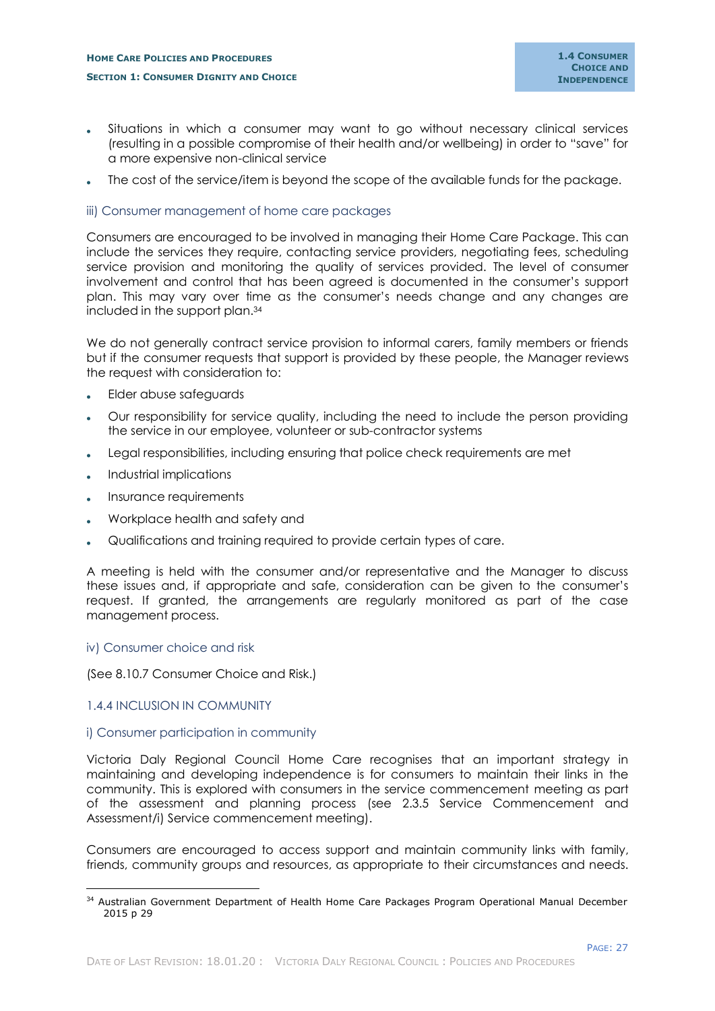- Situations in which a consumer may want to go without necessary clinical services (resulting in a possible compromise of their health and/or wellbeing) in order to "save" for a more expensive non-clinical service
- The cost of the service/item is beyond the scope of the available funds for the package.

## <span id="page-29-0"></span>iii) Consumer management of home care packages

Consumers are encouraged to be involved in managing their Home Care Package. This can include the services they require, contacting service providers, negotiating fees, scheduling service provision and monitoring the quality of services provided. The level of consumer involvement and control that has been agreed is documented in the consumer's support plan. This may vary over time as the consumer's needs change and any changes are included in the support plan.<sup>34</sup>

We do not generally contract service provision to informal carers, family members or friends but if the consumer requests that support is provided by these people, the Manager reviews the request with consideration to:

- Elder abuse safeguards
- Our responsibility for service quality, including the need to include the person providing the service in our employee, volunteer or sub-contractor systems
- Legal responsibilities, including ensuring that police check requirements are met
- Industrial implications
- Insurance requirements
- Workplace health and safety and
- Qualifications and training required to provide certain types of care.

A meeting is held with the consumer and/or representative and the Manager to discuss these issues and, if appropriate and safe, consideration can be given to the consumer's request. If granted, the arrangements are regularly monitored as part of the case management process.

#### <span id="page-29-1"></span>iv) Consumer choice and risk

(See 8.10.7 Consumer Choice and Risk.)

#### <span id="page-29-2"></span>1.4.4 INCLUSION IN COMMUNITY

-

## <span id="page-29-3"></span>i) Consumer participation in community

Victoria Daly Regional Council Home Care recognises that an important strategy in maintaining and developing independence is for consumers to maintain their links in the community. This is explored with consumers in the service commencement meeting as part of the assessment and planning process (see 2.3.5 Service Commencement and Assessment/i) Service commencement meeting).

Consumers are encouraged to access support and maintain community links with family, friends, community groups and resources, as appropriate to their circumstances and needs.

<sup>&</sup>lt;sup>34</sup> Australian Government Department of Health Home Care Packages Program Operational Manual December 2015 p 29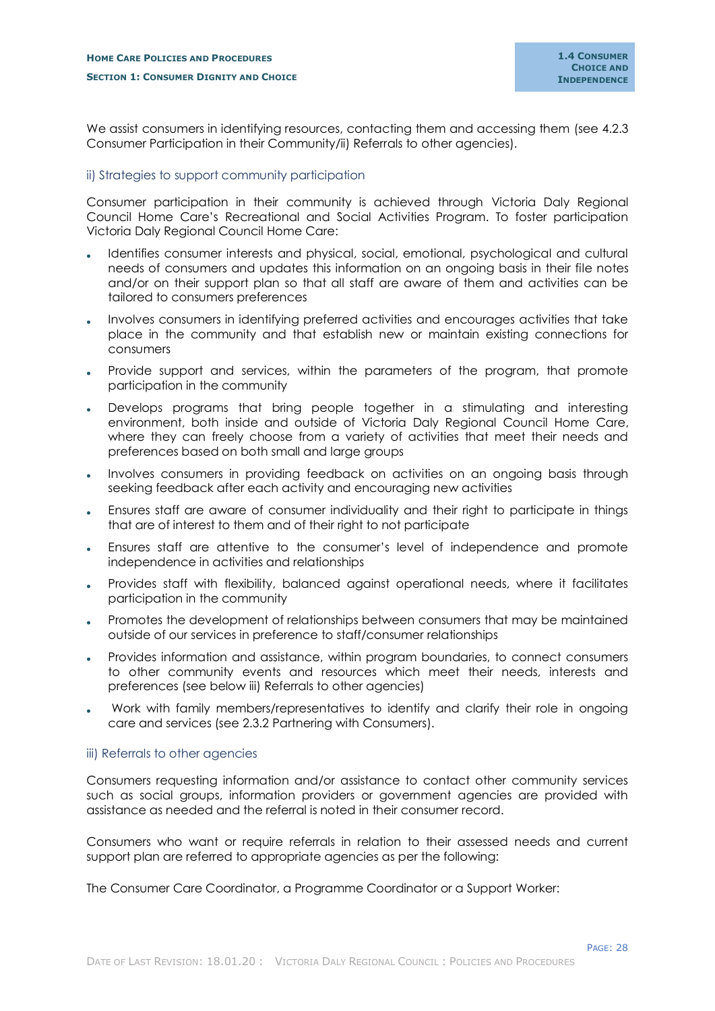We assist consumers in identifying resources, contacting them and accessing them (see 4.2.3) Consumer Participation in their Community/ii) Referrals to other agencies).

## <span id="page-30-0"></span>ii) Strategies to support community participation

Consumer participation in their community is achieved through Victoria Daly Regional Council Home Care's Recreational and Social Activities Program. To foster participation Victoria Daly Regional Council Home Care:

- Identifies consumer interests and physical, social, emotional, psychological and cultural needs of consumers and updates this information on an ongoing basis in their file notes and/or on their support plan so that all staff are aware of them and activities can be tailored to consumers preferences
- Involves consumers in identifying preferred activities and encourages activities that take place in the community and that establish new or maintain existing connections for consumers
- Provide support and services, within the parameters of the program, that promote participation in the community
- Develops programs that bring people together in a stimulating and interesting environment, both inside and outside of Victoria Daly Regional Council Home Care, where they can freely choose from a variety of activities that meet their needs and preferences based on both small and large groups
- Involves consumers in providing feedback on activities on an ongoing basis through seeking feedback after each activity and encouraging new activities
- Ensures staff are aware of consumer individuality and their right to participate in things that are of interest to them and of their right to not participate
- Ensures staff are attentive to the consumer's level of independence and promote independence in activities and relationships
- Provides staff with flexibility, balanced against operational needs, where it facilitates participation in the community
- Promotes the development of relationships between consumers that may be maintained outside of our services in preference to staff/consumer relationships
- Provides information and assistance, within program boundaries, to connect consumers to other community events and resources which meet their needs, interests and preferences (see below iii) Referrals to other agencies)
- Work with family members/representatives to identify and clarify their role in ongoing care and services (see 2.3.2 Partnering with Consumers).

#### <span id="page-30-1"></span>iii) Referrals to other agencies

Consumers requesting information and/or assistance to contact other community services such as social groups, information providers or government agencies are provided with assistance as needed and the referral is noted in their consumer record.

Consumers who want or require referrals in relation to their assessed needs and current support plan are referred to appropriate agencies as per the following:

The Consumer Care Coordinator, a Programme Coordinator or a Support Worker: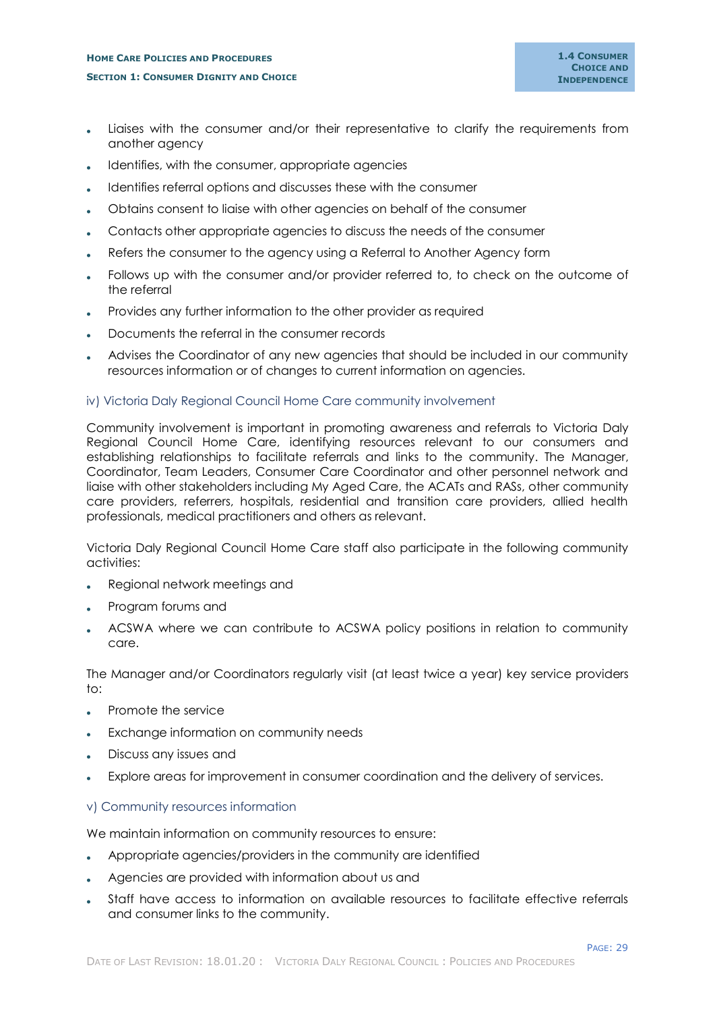- Liaises with the consumer and/or their representative to clarify the requirements from another agency
- Identifies, with the consumer, appropriate agencies
- Identifies referral options and discusses these with the consumer
- Obtains consent to liaise with other agencies on behalf of the consumer
- Contacts other appropriate agencies to discuss the needs of the consumer
- Refers the consumer to the agency using a Referral to Another Agency form
- Follows up with the consumer and/or provider referred to, to check on the outcome of the referral
- Provides any further information to the other provider as required
- Documents the referral in the consumer records
- Advises the Coordinator of any new agencies that should be included in our community resources information or of changes to current information on agencies.

#### <span id="page-31-0"></span>iv) Victoria Daly Regional Council Home Care community involvement

Community involvement is important in promoting awareness and referrals to Victoria Daly Regional Council Home Care, identifying resources relevant to our consumers and establishing relationships to facilitate referrals and links to the community. The Manager, Coordinator, Team Leaders, Consumer Care Coordinator and other personnel network and liaise with other stakeholders including My Aged Care, the ACATs and RASs, other community care providers, referrers, hospitals, residential and transition care providers, allied health professionals, medical practitioners and others as relevant.

Victoria Daly Regional Council Home Care staff also participate in the following community activities:

- Regional network meetings and
- Program forums and
- ACSWA where we can contribute to ACSWA policy positions in relation to community care.

The Manager and/or Coordinators regularly visit (at least twice a year) key service providers  $t\Omega$ :

- Promote the service
- Exchange information on community needs
- Discuss any issues and
- Explore areas for improvement in consumer coordination and the delivery of services.

#### <span id="page-31-1"></span>v) Community resources information

We maintain information on community resources to ensure:

- Appropriate agencies/providers in the community are identified
- Agencies are provided with information about us and
- Staff have access to information on available resources to facilitate effective referrals and consumer links to the community.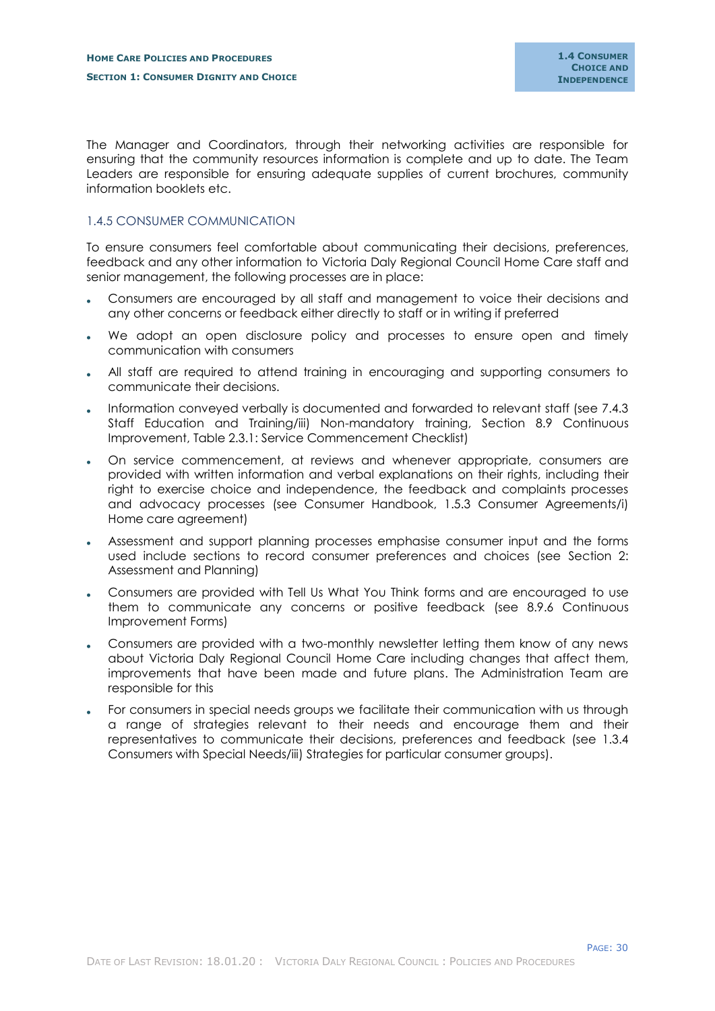The Manager and Coordinators, through their networking activities are responsible for ensuring that the community resources information is complete and up to date. The Team Leaders are responsible for ensuring adequate supplies of current brochures, community information booklets etc.

## <span id="page-32-0"></span>1.4.5 CONSUMER COMMUNICATION

To ensure consumers feel comfortable about communicating their decisions, preferences, feedback and any other information to Victoria Daly Regional Council Home Care staff and senior management, the following processes are in place:

- Consumers are encouraged by all staff and management to voice their decisions and any other concerns or feedback either directly to staff or in writing if preferred
- We adopt an open disclosure policy and processes to ensure open and timely communication with consumers
- All staff are required to attend training in encouraging and supporting consumers to communicate their decisions.
- Information conveyed verbally is documented and forwarded to relevant staff (see 7.4.3 Staff Education and Training/iii) Non-mandatory training, Section 8.9 Continuous Improvement, Table 2.3.1: Service Commencement Checklist)
- On service commencement, at reviews and whenever appropriate, consumers are provided with written information and verbal explanations on their rights, including their right to exercise choice and independence, the feedback and complaints processes and advocacy processes (see Consumer Handbook, 1.5.3 Consumer Agreements/i) Home care agreement)
- Assessment and support planning processes emphasise consumer input and the forms used include sections to record consumer preferences and choices (see Section 2: Assessment and Planning)
- Consumers are provided with Tell Us What You Think forms and are encouraged to use them to communicate any concerns or positive feedback (see 8.9.6 Continuous Improvement Forms)
- Consumers are provided with a two-monthly newsletter letting them know of any news about Victoria Daly Regional Council Home Care including changes that affect them, improvements that have been made and future plans. The Administration Team are responsible for this
- For consumers in special needs groups we facilitate their communication with us through a range of strategies relevant to their needs and encourage them and their representatives to communicate their decisions, preferences and feedback (see 1.3.4 Consumers with Special Needs/iii) Strategies for particular consumer groups).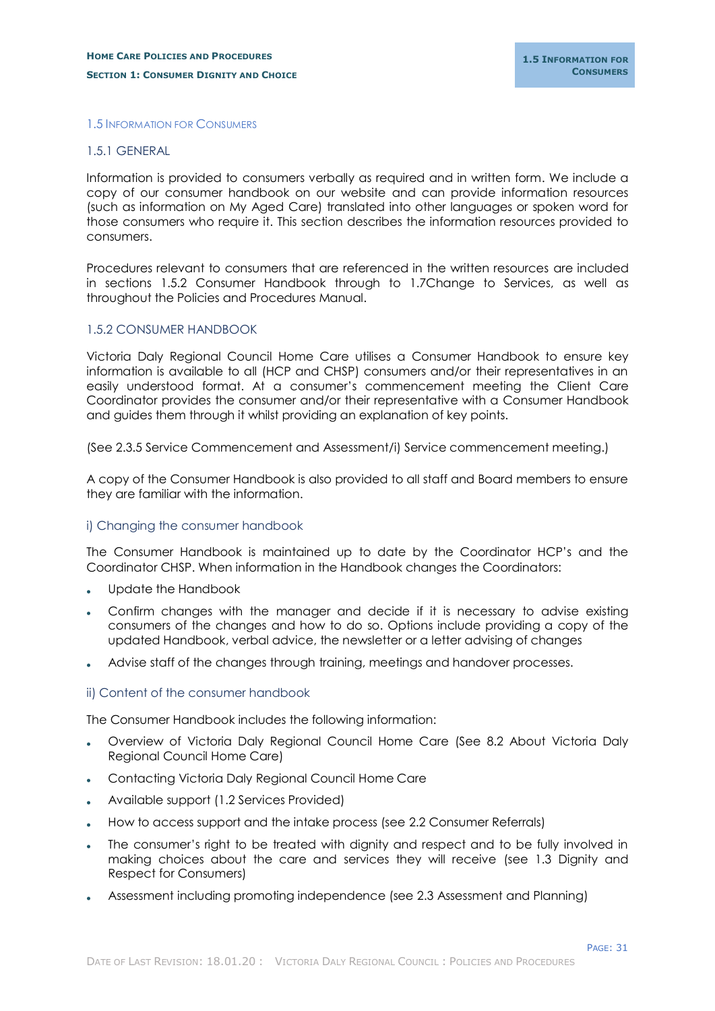#### <span id="page-33-0"></span>1.5 INFORMATION FOR CONSUMERS

#### <span id="page-33-1"></span>1.5.1 GENERAL

Information is provided to consumers verbally as required and in written form. We include a copy of our consumer handbook on our website and can provide information resources (such as information on My Aged Care) translated into other languages or spoken word for those consumers who require it. This section describes the information resources provided to consumers.

Procedures relevant to consumers that are referenced in the written resources are included in sections 1.5.2 Consumer Handbook through to 1.7Change to Services, as well as throughout the Policies and Procedures Manual.

## <span id="page-33-2"></span>1.5.2 CONSUMER HANDBOOK

Victoria Daly Regional Council Home Care utilises a Consumer Handbook to ensure key information is available to all (HCP and CHSP) consumers and/or their representatives in an easily understood format. At a consumer's commencement meeting the Client Care Coordinator provides the consumer and/or their representative with a Consumer Handbook and guides them through it whilst providing an explanation of key points.

(See 2.3.5 Service Commencement and Assessment/i) Service commencement meeting.)

A copy of the Consumer Handbook is also provided to all staff and Board members to ensure they are familiar with the information.

#### <span id="page-33-3"></span>i) Changing the consumer handbook

The Consumer Handbook is maintained up to date by the Coordinator HCP's and the Coordinator CHSP. When information in the Handbook changes the Coordinators:

- Update the Handbook
- Confirm changes with the manager and decide if it is necessary to advise existing consumers of the changes and how to do so. Options include providing a copy of the updated Handbook, verbal advice, the newsletter or a letter advising of changes
- Advise staff of the changes through training, meetings and handover processes.

#### <span id="page-33-4"></span>ii) Content of the consumer handbook

The Consumer Handbook includes the following information:

- Overview of Victoria Daly Regional Council Home Care (See 8.2 About Victoria Daly Regional Council Home Care)
- Contacting Victoria Daly Regional Council Home Care
- Available support (1.2 Services Provided)
- How to access support and the intake process (see 2.2 Consumer Referrals)
- The consumer's right to be treated with dignity and respect and to be fully involved in making choices about the care and services they will receive (see 1.3 Dignity and Respect for Consumers)
- Assessment including promoting independence (see 2.3 Assessment and Planning)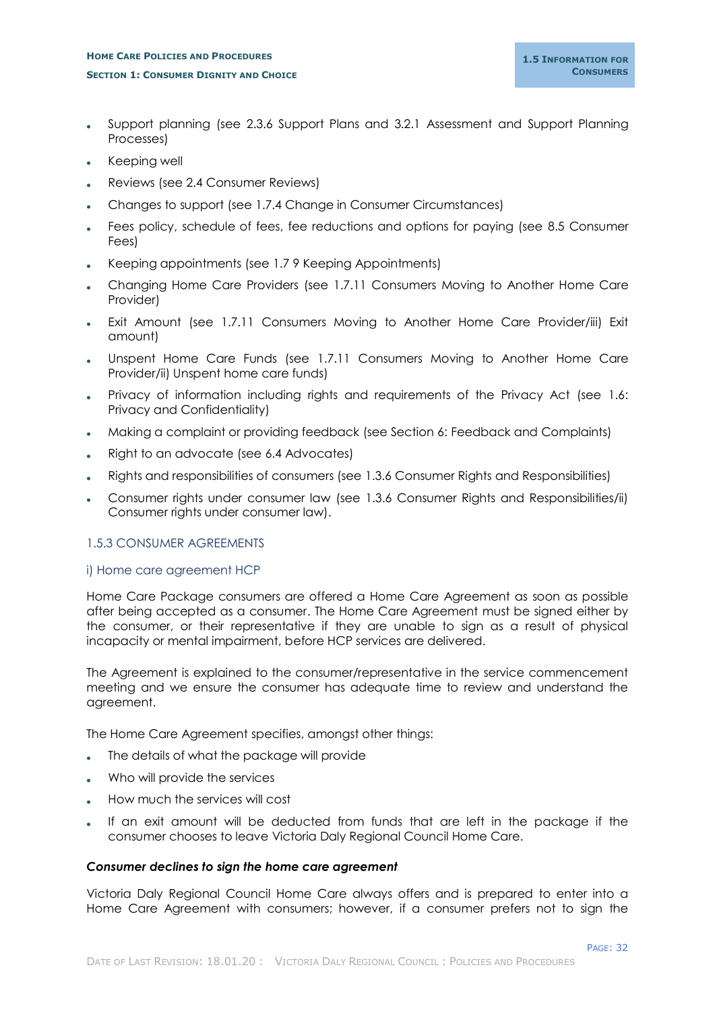## **HOME CARE POLICIES AND PROCEDURES SECTION 1: CONSUMER DIGNITY AND CHOICE**

- Support planning (see 2.3.6 Support Plans and 3.2.1 Assessment and Support Planning Processes)
- Keeping well
- Reviews (see 2.4 Consumer Reviews)
- Changes to support (see 1.7.4 Change in Consumer Circumstances)
- Fees policy, schedule of fees, fee reductions and options for paying (see 8.5 Consumer Fees)
- Keeping appointments (see 1.7 9 Keeping Appointments)
- Changing Home Care Providers (see 1.7.11 Consumers Moving to Another Home Care Provider)
- Exit Amount (see 1.7.11 Consumers Moving to Another Home Care Provider/iii) Exit amount)
- Unspent Home Care Funds (see 1.7.11 Consumers Moving to Another Home Care Provider/ii) Unspent home care funds)
- Privacy of information including rights and requirements of the Privacy Act (see 1.6: Privacy and Confidentiality)
- Making a complaint or providing feedback (see Section 6: Feedback and Complaints)
- Right to an advocate (see 6.4 Advocates)
- Rights and responsibilities of consumers (see 1.3.6 Consumer Rights and Responsibilities)
- Consumer rights under consumer law (see 1.3.6 Consumer Rights and Responsibilities/ii) Consumer rights under consumer law).

## <span id="page-34-0"></span>1.5.3 CONSUMER AGREEMENTS

## <span id="page-34-1"></span>i) Home care agreement HCP

Home Care Package consumers are offered a Home Care Agreement as soon as possible after being accepted as a consumer. The Home Care Agreement must be signed either by the consumer, or their representative if they are unable to sign as a result of physical incapacity or mental impairment, before HCP services are delivered.

The Agreement is explained to the consumer/representative in the service commencement meeting and we ensure the consumer has adequate time to review and understand the agreement.

The Home Care Agreement specifies, amongst other things:

- The details of what the package will provide
- Who will provide the services
- How much the services will cost
- If an exit amount will be deducted from funds that are left in the package if the consumer chooses to leave Victoria Daly Regional Council Home Care.

## *Consumer declines to sign the home care agreement*

Victoria Daly Regional Council Home Care always offers and is prepared to enter into a Home Care Agreement with consumers; however, if a consumer prefers not to sign the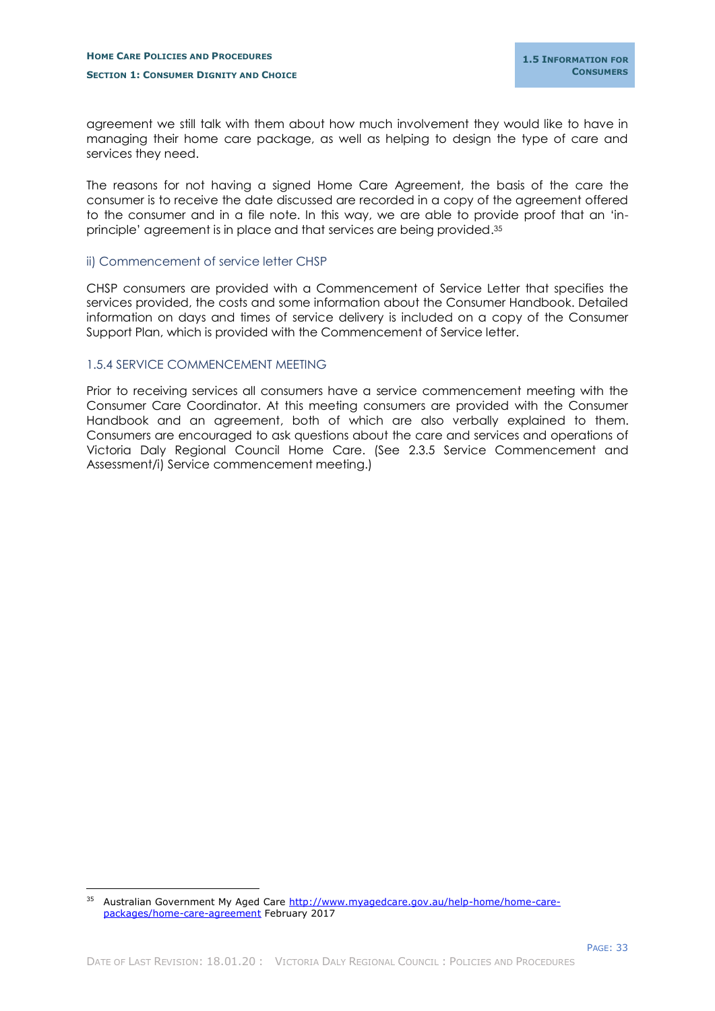agreement we still talk with them about how much involvement they would like to have in managing their home care package, as well as helping to design the type of care and services they need.

The reasons for not having a signed Home Care Agreement, the basis of the care the consumer is to receive the date discussed are recorded in a copy of the agreement offered to the consumer and in a file note. In this way, we are able to provide proof that an 'inprinciple' agreement is in place and that services are being provided. 35

#### <span id="page-35-0"></span>ii) Commencement of service letter CHSP

CHSP consumers are provided with a Commencement of Service Letter that specifies the services provided, the costs and some information about the Consumer Handbook. Detailed information on days and times of service delivery is included on a copy of the Consumer Support Plan, which is provided with the Commencement of Service letter.

## <span id="page-35-1"></span>1.5.4 SERVICE COMMENCEMENT MEETING

-

Prior to receiving services all consumers have a service commencement meeting with the Consumer Care Coordinator. At this meeting consumers are provided with the Consumer Handbook and an agreement, both of which are also verbally explained to them. Consumers are encouraged to ask questions about the care and services and operations of Victoria Daly Regional Council Home Care. (See 2.3.5 Service Commencement and Assessment/i) Service commencement meeting.)

<sup>35</sup> Australian Government My Aged Care [http://www.myagedcare.gov.au/help-home/home-care](http://www.myagedcare.gov.au/help-home/home-care-packages/home-care-agreement)[packages/home-care-agreement](http://www.myagedcare.gov.au/help-home/home-care-packages/home-care-agreement) February 2017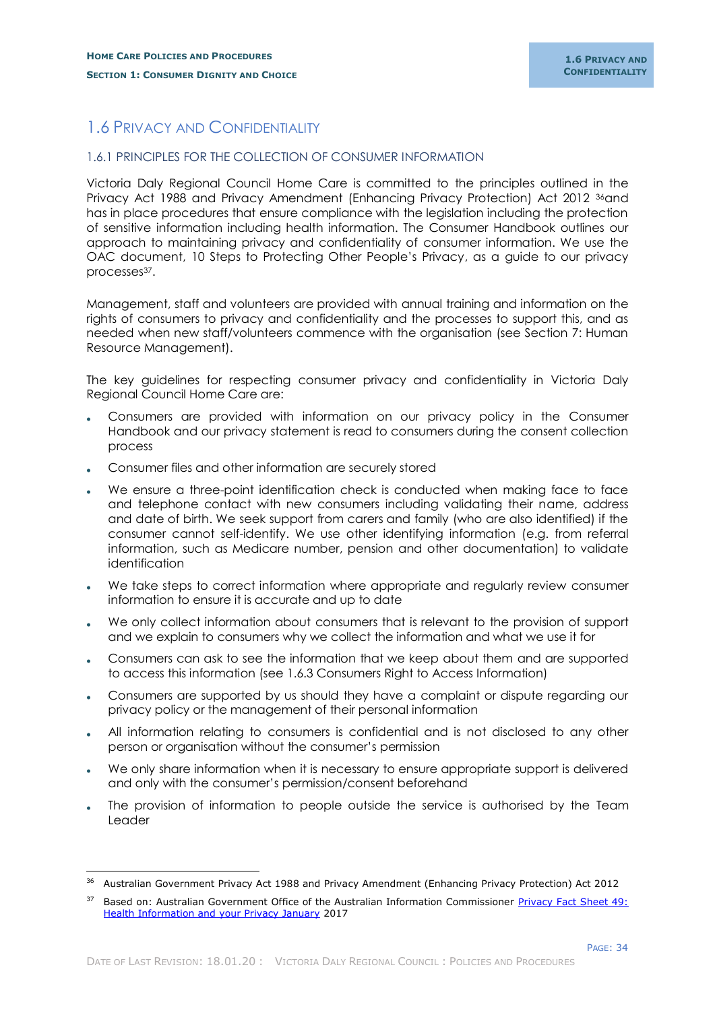# <span id="page-36-0"></span>1.6 PRIVACY AND CONFIDENTIALITY

#### <span id="page-36-1"></span>1.6.1 PRINCIPLES FOR THE COLLECTION OF CONSUMER INFORMATION

Victoria Daly Regional Council Home Care is committed to the principles outlined in the Privacy Act 1988 and Privacy Amendment (Enhancing Privacy Protection) Act 2012 <sup>36</sup>and has in place procedures that ensure compliance with the legislation including the protection of sensitive information including health information. The Consumer Handbook outlines our approach to maintaining privacy and confidentiality of consumer information. We use the OAC document, 10 Steps to Protecting Other People's Privacy, as a guide to our privacy processes37.

Management, staff and volunteers are provided with annual training and information on the rights of consumers to privacy and confidentiality and the processes to support this, and as needed when new staff/volunteers commence with the organisation (see Section 7: Human Resource Management).

The key guidelines for respecting consumer privacy and confidentiality in Victoria Daly Regional Council Home Care are:

- Consumers are provided with information on our privacy policy in the Consumer Handbook and our privacy statement is read to consumers during the consent collection process
- Consumer files and other information are securely stored

-

- We ensure a three-point identification check is conducted when making face to face and telephone contact with new consumers including validating their name, address and date of birth. We seek support from carers and family (who are also identified) if the consumer cannot self-identify. We use other identifying information (e.g. from referral information, such as Medicare number, pension and other documentation) to validate identification
- We take steps to correct information where appropriate and regularly review consumer information to ensure it is accurate and up to date
- We only collect information about consumers that is relevant to the provision of support and we explain to consumers why we collect the information and what we use it for
- Consumers can ask to see the information that we keep about them and are supported to access this information (see 1.6.3 Consumers Right to Access Information)
- Consumers are supported by us should they have a complaint or dispute regarding our privacy policy or the management of their personal information
- All information relating to consumers is confidential and is not disclosed to any other person or organisation without the consumer's permission
- We only share information when it is necessary to ensure appropriate support is delivered and only with the consumer's permission/consent beforehand
- The provision of information to people outside the service is authorised by the Team Leader

<sup>&</sup>lt;sup>36</sup> Australian Government Privacy Act 1988 and Privacy Amendment (Enhancing Privacy Protection) Act 2012

Based on: Australian Government Office of the Australian Information Commissioner Privacy Fact Sheet 49: [Health Information and your Privacy January](https://www.oaic.gov.au/individuals/privacy-fact-sheets/health-and-digital-health/privacy-fact-sheet-49) 2017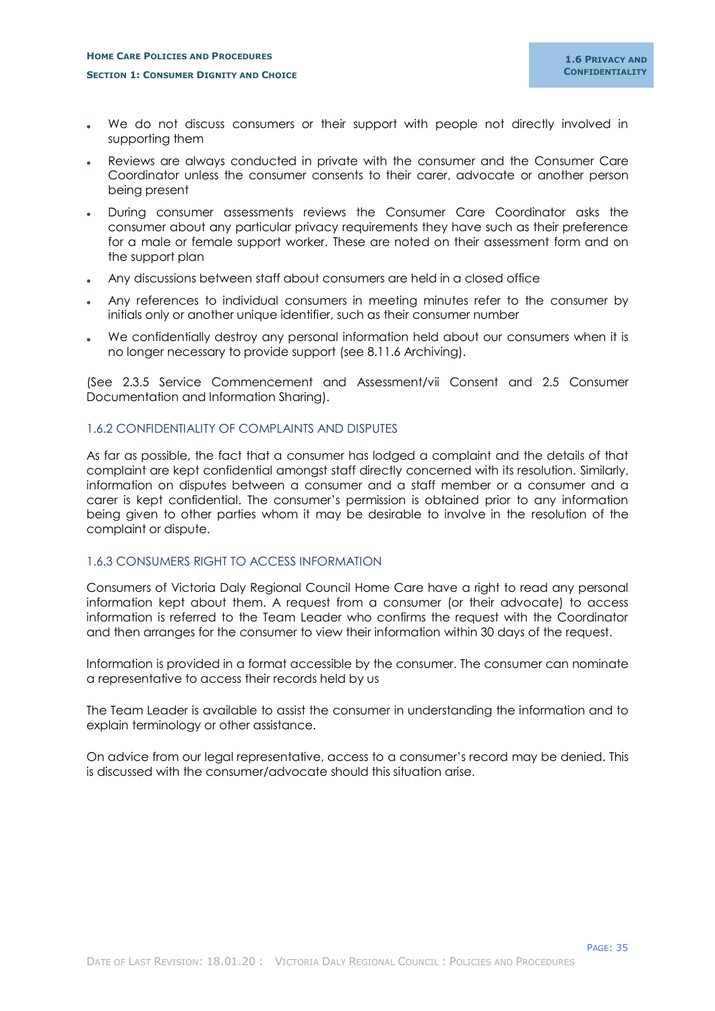- We do not discuss consumers or their support with people not directly involved in supporting them
- Reviews are always conducted in private with the consumer and the Consumer Care Coordinator unless the consumer consents to their carer, advocate or another person being present
- During consumer assessments reviews the Consumer Care Coordinator asks the consumer about any particular privacy requirements they have such as their preference for a male or female support worker. These are noted on their assessment form and on the support plan
- Any discussions between staff about consumers are held in a closed office
- Any references to individual consumers in meeting minutes refer to the consumer by initials only or another unique identifier, such as their consumer number
- We confidentially destroy any personal information held about our consumers when it is no longer necessary to provide support (see 8.11.6 Archiving).

(See 2.3.5 Service Commencement and Assessment/vii Consent and 2.5 Consumer Documentation and Information Sharing).

## <span id="page-37-0"></span>1.6.2 CONFIDENTIALITY OF COMPLAINTS AND DISPUTES

As far as possible, the fact that a consumer has lodged a complaint and the details of that complaint are kept confidential amongst staff directly concerned with its resolution. Similarly, information on disputes between a consumer and a staff member or a consumer and a carer is kept confidential. The consumer's permission is obtained prior to any information being given to other parties whom it may be desirable to involve in the resolution of the complaint or dispute.

## <span id="page-37-1"></span>1.6.3 CONSUMERS RIGHT TO ACCESS INFORMATION

Consumers of Victoria Daly Regional Council Home Care have a right to read any personal information kept about them. A request from a consumer (or their advocate) to access information is referred to the Team Leader who confirms the request with the Coordinator and then arranges for the consumer to view their information within 30 days of the request.

Information is provided in a format accessible by the consumer. The consumer can nominate a representative to access their records held by us

The Team Leader is available to assist the consumer in understanding the information and to explain terminology or other assistance.

On advice from our legal representative, access to a consumer's record may be denied. This is discussed with the consumer/advocate should this situation arise.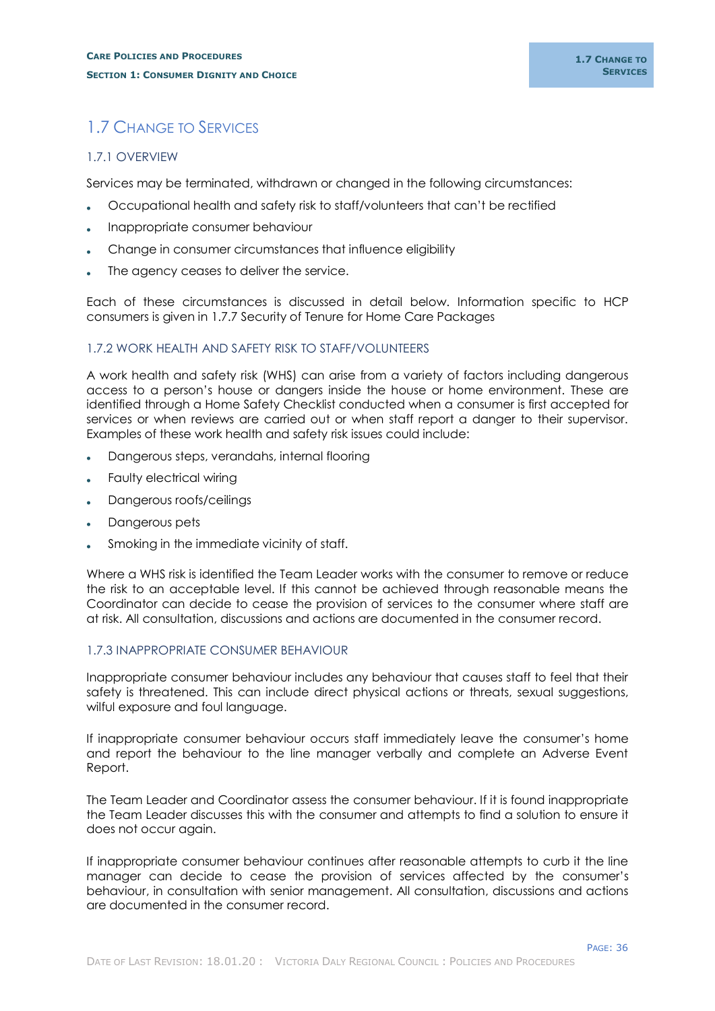# <span id="page-38-0"></span>1.7 CHANGE TO SERVICES

## <span id="page-38-1"></span>1.7.1 OVERVIEW

Services may be terminated, withdrawn or changed in the following circumstances:

- Occupational health and safety risk to staff/volunteers that can't be rectified
- Inappropriate consumer behaviour
- Change in consumer circumstances that influence eligibility
- The agency ceases to deliver the service.

Each of these circumstances is discussed in detail below. Information specific to HCP consumers is given in 1.7.7 Security of Tenure for Home Care Packages

# <span id="page-38-2"></span>1.7.2 WORK HEALTH AND SAFETY RISK TO STAFF/VOLUNTEERS

A work health and safety risk (WHS) can arise from a variety of factors including dangerous access to a person's house or dangers inside the house or home environment. These are identified through a Home Safety Checklist conducted when a consumer is first accepted for services or when reviews are carried out or when staff report a danger to their supervisor. Examples of these work health and safety risk issues could include:

- Dangerous steps, verandahs, internal flooring
- Faulty electrical wiring
- Dangerous roofs/ceilings
- Dangerous pets
- Smoking in the immediate vicinity of staff.

Where a WHS risk is identified the Team Leader works with the consumer to remove or reduce the risk to an acceptable level. If this cannot be achieved through reasonable means the Coordinator can decide to cease the provision of services to the consumer where staff are at risk. All consultation, discussions and actions are documented in the consumer record.

## <span id="page-38-3"></span>1.7.3 INAPPROPRIATE CONSUMER BEHAVIOUR

Inappropriate consumer behaviour includes any behaviour that causes staff to feel that their safety is threatened. This can include direct physical actions or threats, sexual suggestions, wilful exposure and foul language.

If inappropriate consumer behaviour occurs staff immediately leave the consumer's home and report the behaviour to the line manager verbally and complete an Adverse Event Report.

The Team Leader and Coordinator assess the consumer behaviour. If it is found inappropriate the Team Leader discusses this with the consumer and attempts to find a solution to ensure it does not occur again.

If inappropriate consumer behaviour continues after reasonable attempts to curb it the line manager can decide to cease the provision of services affected by the consumer's behaviour, in consultation with senior management. All consultation, discussions and actions are documented in the consumer record.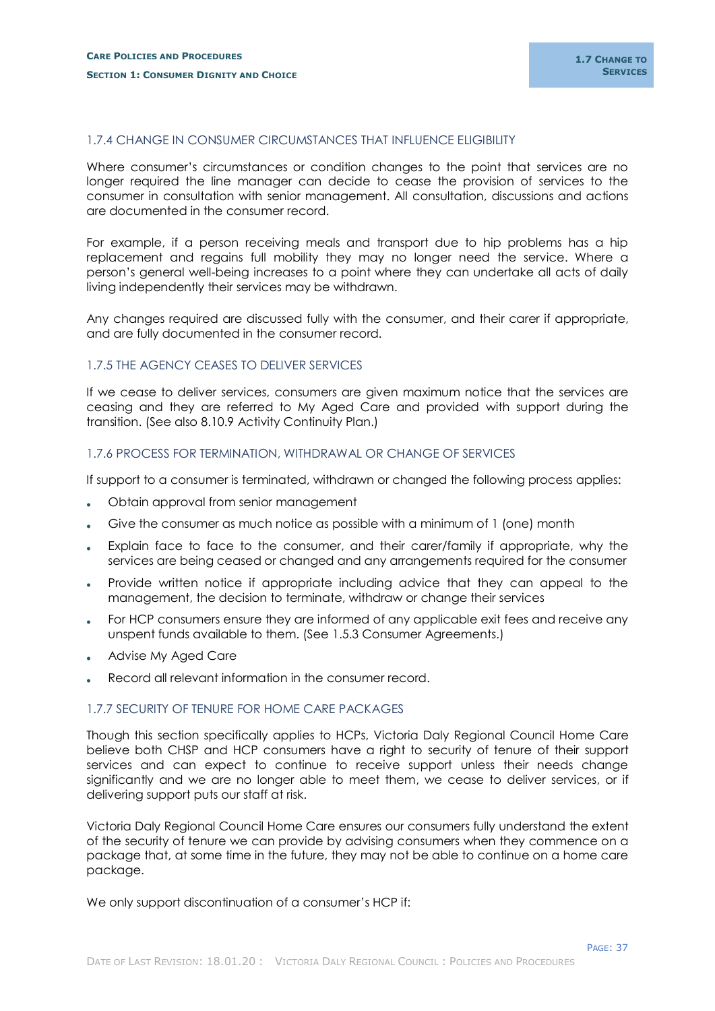#### <span id="page-39-0"></span>1.7.4 CHANGE IN CONSUMER CIRCUMSTANCES THAT INFLUENCE ELIGIBILITY

Where consumer's circumstances or condition changes to the point that services are no longer required the line manager can decide to cease the provision of services to the consumer in consultation with senior management. All consultation, discussions and actions are documented in the consumer record.

For example, if a person receiving meals and transport due to hip problems has a hip replacement and regains full mobility they may no longer need the service. Where a person's general well-being increases to a point where they can undertake all acts of daily living independently their services may be withdrawn.

Any changes required are discussed fully with the consumer, and their carer if appropriate, and are fully documented in the consumer record.

# <span id="page-39-1"></span>1.7.5 THE AGENCY CEASES TO DELIVER SERVICES

If we cease to deliver services, consumers are given maximum notice that the services are ceasing and they are referred to My Aged Care and provided with support during the transition. (See also 8.10.9 Activity Continuity Plan.)

#### <span id="page-39-2"></span>1.7.6 PROCESS FOR TERMINATION, WITHDRAWAL OR CHANGE OF SERVICES

If support to a consumer is terminated, withdrawn or changed the following process applies:

- Obtain approval from senior management
- Give the consumer as much notice as possible with a minimum of 1 (one) month
- Explain face to face to the consumer, and their carer/family if appropriate, why the services are being ceased or changed and any arrangements required for the consumer
- Provide written notice if appropriate including advice that they can appeal to the management, the decision to terminate, withdraw or change their services
- For HCP consumers ensure they are informed of any applicable exit fees and receive any unspent funds available to them. (See 1.5.3 Consumer Agreements.)
- Advise My Aged Care
- Record all relevant information in the consumer record.

#### <span id="page-39-3"></span>1.7.7 SECURITY OF TENURE FOR HOME CARE PACKAGES

Though this section specifically applies to HCPs, Victoria Daly Regional Council Home Care believe both CHSP and HCP consumers have a right to security of tenure of their support services and can expect to continue to receive support unless their needs change significantly and we are no longer able to meet them, we cease to deliver services, or if delivering support puts our staff at risk.

Victoria Daly Regional Council Home Care ensures our consumers fully understand the extent of the security of tenure we can provide by advising consumers when they commence on a package that, at some time in the future, they may not be able to continue on a home care package.

We only support discontinuation of a consumer's HCP if: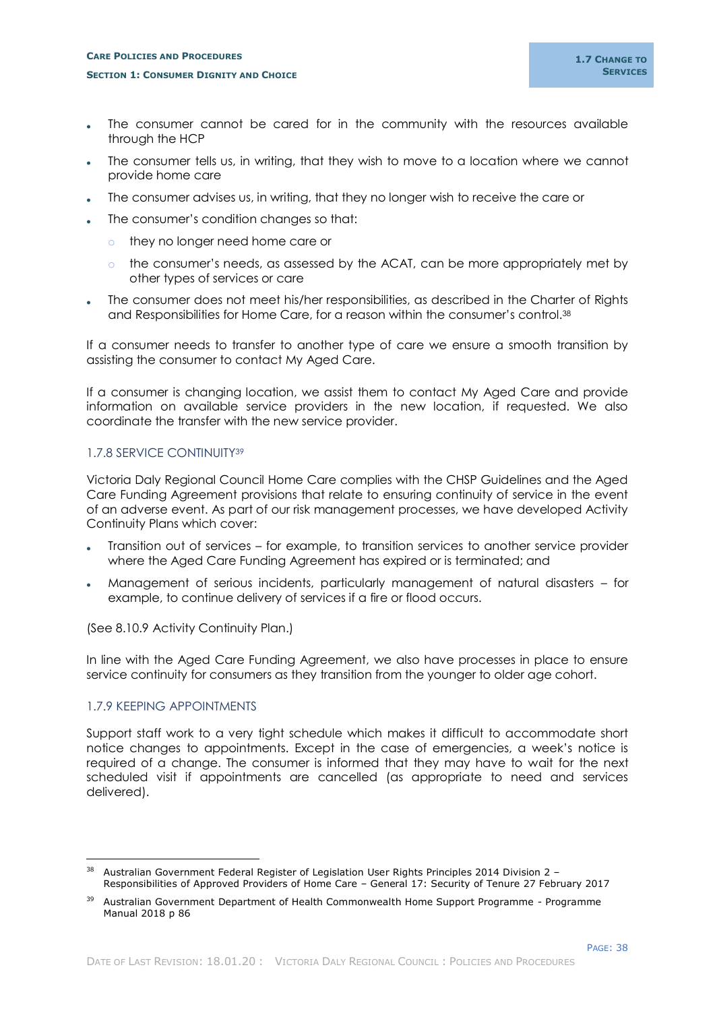- The consumer cannot be cared for in the community with the resources available through the HCP
- The consumer tells us, in writing, that they wish to move to a location where we cannot provide home care
- The consumer advises us, in writing, that they no longer wish to receive the care or
- The consumer's condition changes so that:
	- o they no longer need home care or
	- o the consumer's needs, as assessed by the ACAT, can be more appropriately met by other types of services or care
- The consumer does not meet his/her responsibilities, as described in the Charter of Rights and Responsibilities for Home Care, for a reason within the consumer's control.<sup>38</sup>

If a consumer needs to transfer to another type of care we ensure a smooth transition by assisting the consumer to contact My Aged Care.

If a consumer is changing location, we assist them to contact My Aged Care and provide information on available service providers in the new location, if requested. We also coordinate the transfer with the new service provider.

# <span id="page-40-0"></span>1.7.8 SERVICE CONTINUITY<sup>39</sup>

Victoria Daly Regional Council Home Care complies with the CHSP Guidelines and the Aged Care Funding Agreement provisions that relate to ensuring continuity of service in the event of an adverse event. As part of our risk management processes, we have developed Activity Continuity Plans which cover:

- Transition out of services for example, to transition services to another service provider where the Aged Care Funding Agreement has expired or is terminated; and
- Management of serious incidents, particularly management of natural disasters for example, to continue delivery of services if a fire or flood occurs.

(See 8.10.9 Activity Continuity Plan.)

In line with the Aged Care Funding Agreement, we also have processes in place to ensure service continuity for consumers as they transition from the younger to older age cohort.

## <span id="page-40-1"></span>1.7.9 KEEPING APPOINTMENTS

-

Support staff work to a very tight schedule which makes it difficult to accommodate short notice changes to appointments. Except in the case of emergencies, a week's notice is required of a change. The consumer is informed that they may have to wait for the next scheduled visit if appointments are cancelled (as appropriate to need and services delivered).

<sup>38</sup> Australian Government Federal Register of Legislation [User Rights Principles 2014 Division 2](https://www.legislation.gov.au/Details/F2017C00141) – Responsibilities [of Approved Providers of Home Care](https://www.legislation.gov.au/Details/F2017C00141) – General 17: Security of Tenure 27 February 2017

<sup>&</sup>lt;sup>39</sup> Australian Government Department of Health Commonwealth Home Support Programme - Programme Manual 2018 p 86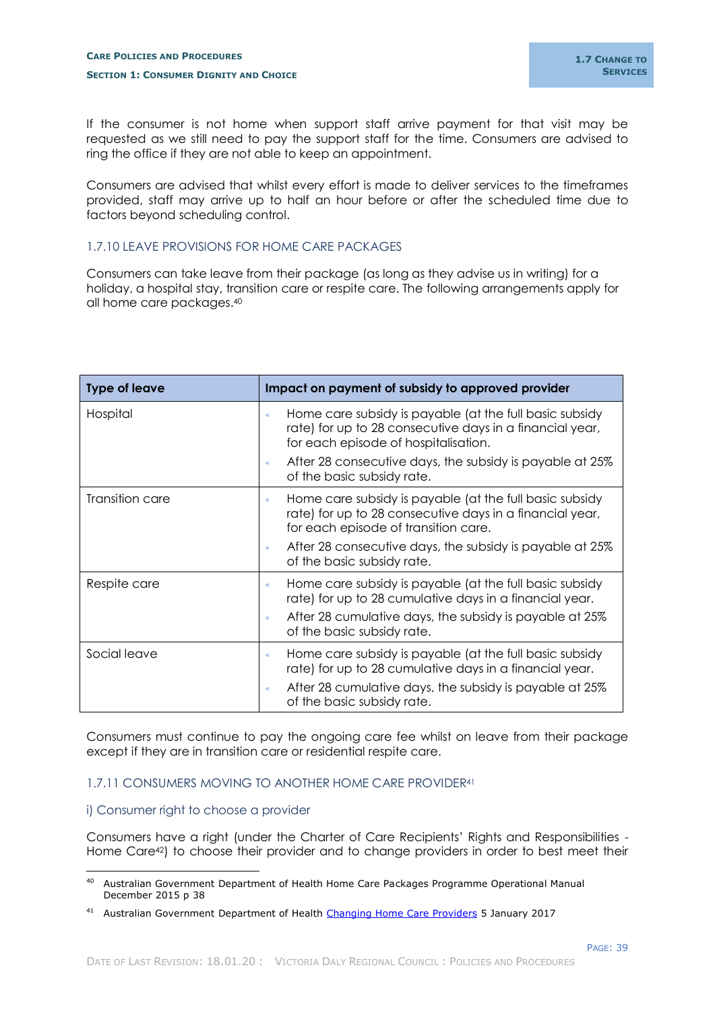If the consumer is not home when support staff arrive payment for that visit may be requested as we still need to pay the support staff for the time. Consumers are advised to ring the office if they are not able to keep an appointment.

Consumers are advised that whilst every effort is made to deliver services to the timeframes provided, staff may arrive up to half an hour before or after the scheduled time due to factors beyond scheduling control.

## <span id="page-41-0"></span>1.7.10 LEAVE PROVISIONS FOR HOME CARE PACKAGES

Consumers can take leave from their package (as long as they advise us in writing) for a holiday, a hospital stay, transition care or respite care. The following arrangements apply for all home care packages. 40

| <b>Type of leave</b> | Impact on payment of subsidy to approved provider                                                                                                                                                                        |
|----------------------|--------------------------------------------------------------------------------------------------------------------------------------------------------------------------------------------------------------------------|
| Hospital             | Home care subsidy is payable (at the full basic subsidy<br>$\bullet$<br>rate) for up to 28 consecutive days in a financial year,<br>for each episode of hospitalisation.                                                 |
|                      | After 28 consecutive days, the subsidy is payable at 25%<br>of the basic subsidy rate.                                                                                                                                   |
| Transition care      | Home care subsidy is payable (at the full basic subsidy<br>۰<br>rate) for up to 28 consecutive days in a financial year,<br>for each episode of transition care.                                                         |
|                      | After 28 consecutive days, the subsidy is payable at 25%<br>of the basic subsidy rate.                                                                                                                                   |
| Respite care         | Home care subsidy is payable (at the full basic subsidy<br>$\bullet$<br>rate) for up to 28 cumulative days in a financial year.<br>After 28 cumulative days, the subsidy is payable at 25%<br>of the basic subsidy rate. |
| Social leave         | Home care subsidy is payable (at the full basic subsidy<br>۰<br>rate) for up to 28 cumulative days in a financial year.<br>After 28 cumulative days, the subsidy is payable at 25%<br>۰<br>of the basic subsidy rate.    |

Consumers must continue to pay the ongoing care fee whilst on leave from their package except if they are in transition care or residential respite care.

## <span id="page-41-1"></span>1.7.11 CONSUMERS MOVING TO ANOTHER HOME CARE PROVIDER<sup>41</sup>

## <span id="page-41-2"></span>i) Consumer right to choose a provider

-

Consumers have a right (under the Charter of Care Recipients' Rights and Responsibilities - Home Care<sup>42</sup>) to choose their provider and to change providers in order to best meet their

<sup>&</sup>lt;sup>40</sup> Australian Government Department of Health Home Care Packages Programme Operational Manual December 2015 p 38

<sup>&</sup>lt;sup>41</sup> Australian Government Department of Health [Changing Home Care Providers](https://agedcare.health.gov.au/programs/home-care/changing-home-care-providers) 5 January 2017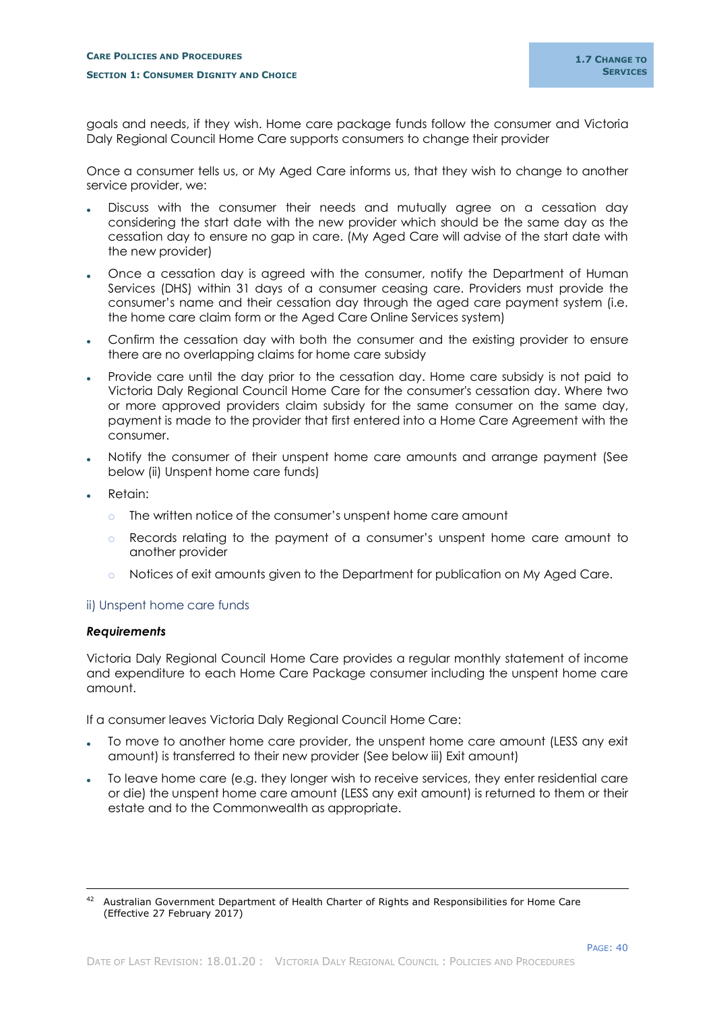goals and needs, if they wish. Home care package funds follow the consumer and Victoria Daly Regional Council Home Care supports consumers to change their provider

Once a consumer tells us, or My Aged Care informs us, that they wish to change to another service provider, we:

- Discuss with the consumer their needs and mutually agree on a cessation day considering the start date with the new provider which should be the same day as the cessation day to ensure no gap in care. (My Aged Care will advise of the start date with the new provider)
- Once a cessation day is agreed with the consumer, notify the Department of Human Services (DHS) within 31 days of a consumer ceasing care. Providers must provide the consumer's name and their cessation day through the aged care payment system (i.e. the home care claim form or the Aged Care Online Services system)
- Confirm the cessation day with both the consumer and the existing provider to ensure there are no overlapping claims for home care subsidy
- Provide care until the day prior to the cessation day. Home care subsidy is not paid to Victoria Daly Regional Council Home Care for the consumer's cessation day. Where two or more approved providers claim subsidy for the same consumer on the same day, payment is made to the provider that first entered into a Home Care Agreement with the consumer.
- Notify the consumer of their unspent home care amounts and arrange payment (See below (ii) Unspent home care funds)
- Retain:
	- o The written notice of the consumer's unspent home care amount
	- o Records relating to the payment of a consumer's unspent home care amount to another provider
	- o Notices of exit amounts given to the Department for publication on My Aged Care.

## <span id="page-42-0"></span>ii) Unspent home care funds

#### *Requirements*

-

Victoria Daly Regional Council Home Care provides a regular monthly statement of income and expenditure to each Home Care Package consumer including the unspent home care amount.

If a consumer leaves Victoria Daly Regional Council Home Care:

- To move to another home care provider, the unspent home care amount (LESS any exit amount) is transferred to their new provider (See below iii) Exit amount)
- To leave home care (e.g. they longer wish to receive services, they enter residential care or die) the unspent home care amount (LESS any exit amount) is returned to them or their estate and to the Commonwealth as appropriate.

<sup>42</sup> Australian Government Department of Health Charter of Rights and Responsibilities for Home Care (Effective 27 February 2017)